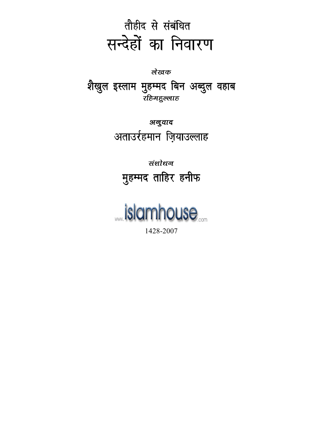# लेखक शैखुल इस्लाम मुहम्मद बिन अब्दुल वहाब रहिमद्भल्लाह

अनुवाद अताउर्रहमान ज़ियाउल्लाह

संशोधन मुहम्मद ताहिर हनीफ

**\_\_islamhouse** 

1428-2007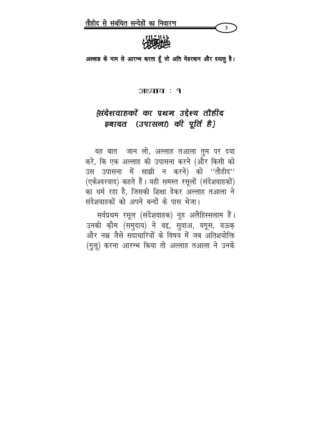

अल्लाह के नाम से आरम्भ करता हूँ जो अति मेहरबान और दयालु है।

#### अध्याय : १

## सिंदेशवाहकों का प्रथम उद्देश्य तौहीद इबादत (उपासना) की पूर्ति है}

यह बात जान लो, अल्लाह तआला तुम पर दया करे, कि एक अल्लाह की उपासना करने (और किसी को उस उपासना में साझी न करने) को ''तौहीद'' (एकेश्वरवाद) कहते हैं। यही समस्त रसूलों (संदेशवाहकों) का धर्म रहा है. जिसकी शिक्षा देकर अल्लाह तआला ने संदेशवाहकों को अपने बन्दों के पास भेजा।

सर्वप्रथम रसूल (संदेशवाहक) नूह अलैहिस्सलाम हैं। उनकी क़ौम (समुदाय) ने वद्द, सुवाअ, यगूस, यऊक़ और नम्न जैसे सदाचारियों के विषय में जब अतिशयोक्ति (गुलू) करना आरम्भ किया तो अल्लाह तआला ने उनके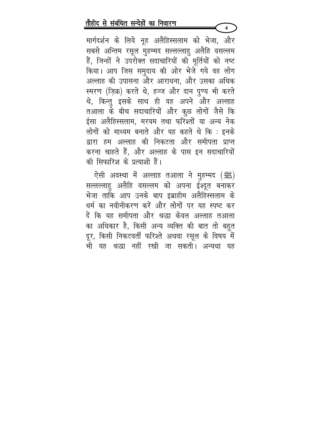मार्गदर्शन के लिये नूह अलैहिस्सलाम को भेजा, और सबसे अन्तिम रसूल मुहम्मद सल्लल्लाहु अलैहि वसल्लम हैं, जिन्हों ने उपरोक्त सदाचारियों की मूर्तियों को नष्ट किया। आप जिस समुदाय की ओर भेजे गये वह लोग अल्लाह की उपासना और आराधना, और उसका अधिक स्मरण (ज़िक्र) करते थे, हज्ज और दान पुण्य भी करते थे, किन्तु इसके साथ ही वह अपने और अल्लाह तआला के बीच सदाचारियों और कूछ लोगों जैसे कि ईसा अलैहिस्सलाम, मरयम तथा फरिश्तों या अन्य नेक लोगों को माध्यम बनाते और यह कहते थे कि : इनके द्वारा हम अल्लाह की निकटता और समीपता प्राप्त करना चाहते हैं, और अल्लाह के पास इन सदाचारियों की सिफारिश के प्रत्याशी हैं।

 $\overline{\mathbf{4}}$ 

ऐसी अवस्था में अल्लाह तआला ने मुहम्मद (ﷺ) सल्लल्लाहु अलैहि वसल्लम को अपना ईश्दूत बनाकर भेजा ताकि आप उनके बाप इब्राहीम अलैहिस्सलाम के धर्म का नवीनीकरण करें और लोगों पर यह स्पष्ट कर दें कि यह समीपता और श्रद्धा केवल अल्लाह तआला का अधिकार है, किसी अन्य व्यक्ति की बात तो बहुत दूर, किसी निकटवर्ती फरिश्ते अथवा रसूल के विषय में भी यह श्रद्धा नहीं रखी जा सकती। अन्यथा यह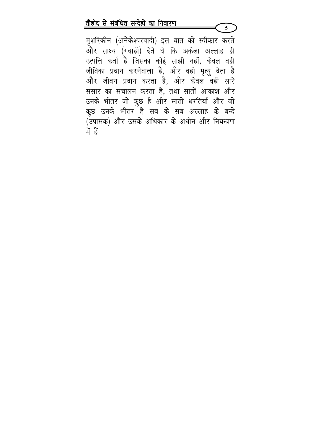मुशरिकीन (अनेकेश्वरवादी) इस बात को स्वीकार करते और साक्ष्य (गवाही) देते थे कि अकेला अल्लाह ही उत्पत्ति कर्ता है जिसका कोई साझी नहीं, केवल वही जीविका प्रदान करनेवाला है, और वही मृत्यू देता है और जीवन प्रदान करता है, और केवल वही सारे संसार का संचालन करता है, तथा सातों आकाश और उनके भीतर जो कूछ है और सातों धरतियाँ और जो कुछ उनके भीतर है सब के सब अल्लाह के बन्दे (उपासक) और उसके अधिकार के अधीन और नियन्त्रण में हैं।

 $\overline{5}$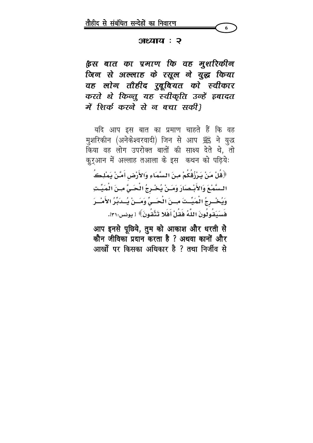#### अश्याय : २

ह्रिस बात का प्रमाण कि वह मुशरिकीन जिन से अल्लाह के रसूल ने युद्ध किया वह लोग तौहीद रुबूबियत को स्वीकार करते थे किन्तु यह स्वीकृति उन्हें इबादत में शिर्क करने से न बचा सकी।

यदि आप इस बात का प्रमाण चाहते हैं कि वह मुशरिकीन (अनेकेश्वरवादी) जिन से आप ﷺ ने युद्ध किया वह लोग उपरोक्त बातों की साक्ष्य देते थे, तो कुर्आन में अल्लाह तआला के इस कथन को पढ़िये: ﴿قُلْ مَنْ يَرْزُقُكُمْ مِنَ السَّمَاءِ وَالأَرْضِ أَمَّنْ يَمْلِڪُ السَّمْعَ وَالأَبْصَارَ وَمَـنْ يُخْـرِجُ الْحَـيَّ مِـنَ الْمَيِّـتِ وَيُخْسِرِجُ الْمَيِّسَّتَ مِسْنَ الْحَسِيِّ وَمَسْنْ يُسْدَبِّرُ الأَمْسْرَ فَسَيَقُونُونَ اللَّهُ فَقَلْ أَفَلا تَتَّقُونَ﴾ [ يونس:٣١].

आप इनसे पूछिये, तुम को आकाश और धरती से कौन जीविका प्रदान करता है ? अथवा कानों और आर्खों पर किसका अधिकार है ? तथा निर्जीव से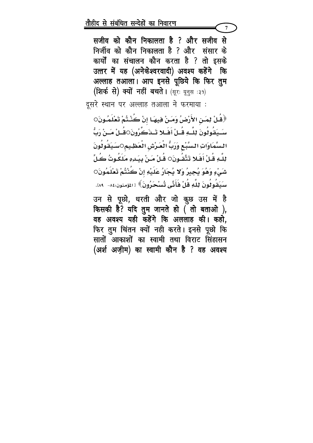सजीव को कौन निकालता है ? और सजीव से निर्जीव को कौन निकालता है ? और संसार के कार्यों का संचालन कौन करता है ? तो इसके उत्तर में यह (अनेकेश्वरवादी) अवश्य कहेंगे कि अल्लाह तआला। आप इनसे पूछिये कि फिर तुम (शिर्क से) क्यों नहीं बचते। (सूरः यूनुस :३१)

 $\overline{7}$ 

दूसरे स्थान पर अल्लाह तआला ने फरमाया :

﴿قُلْ لِمَـنِ الأَرْضُ وَمَـنْ فِيهَـا إنْ كُنْـتُمْ تَعْلَمُـونَ○ سَــدَقُولُونَ لِلـَّـهِ قُــلْ أَفَــلا تَــدَڪَرُونَ○قُــلْ مَــنْ رَبُّ السَّمَاوَاتِ السَّبْعِ وَزَبُّ الْعَرْشِ الْعَظِيمِ○سَيَقُولُونَ لِلَّـهِ قُـلْ أَفَـلا تَتَّقُـونَ○ قُـلْ مَـنْ بِيَـٰدِهِ مَلَكُـوتُ كُـلِّ شَىْءٍ وَهُوَ يُجِيرُ وَلا يُجَارُ عَلَيْهِ إنْ كُنْتُمْ تَعْلَمُونَ○ سَىَقُولُونَ لِلَّهِ قُلْ فَأَنَّى تُسْحَرُونَ﴾ [المؤمنون:٨٤-۔ ٨٩].

उन से पूछो, धरती और जो कुछ उस में है किसकी है? यदि तुम जानते हो ( तो बताओ ), वह अवश्य यही कहेंगे कि अललाह की। कहो, फिर तुम चिंतन क्यों नही करते। इनसे पूछो कि सातों आकाशों का स्वामी तथा विराट सिंहासन (अर्श अज़ीम) का स्वामी कौन है ? वह अवश्य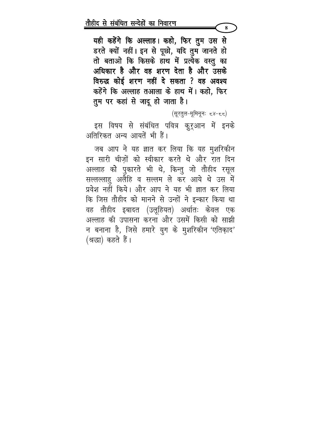यही कहेंगे कि अल्लाह। कहो, फिर तुम उस से डरते क्यों नहीं। इन से पूछो, यदि तुम जानते हो तो बताओ कि किसके हाथ में प्रत्येक वस्तु का अधिकार है और वह शरण देता है और उसके विरुद्ध कोई शरण नहीं दे सकता ? वह अवश्य कहेंगे कि अल्लाह तआला के हाथ में। कहो, फिर तुम पर कहां से जादू हो जाता है।

(सूरतुल-मूमिनूनः ८४-८८)

 $\mathbf{R}$ 

इस विषय से संबंधित पवित्र कुरूआन में इनके अतिरिकत अन्य आयतें भी हैं।

जब आप ने यह ज्ञात कर लिया कि यह मुशरिकीन इन सारी चीजों को स्वीकार करते थे और रात दिन अल्लाह को पुकारते भी थे, किन्तु जो तौहीद रसूल सल्लल्लाहु अलैहि व सल्लम ले कर आये थे उस में प्रवेश नहीं किये। और आप ने यह भी ज्ञात कर लिया कि जिस तौहीद को मानने से उन्हों ने इन्कार किया था वह तौहीद इबादत (उलूहियत) अर्थातः केवल एक अल्लाह की उपासना करना और उसमें किसी को साझी न बनाना है, जिसे हमारे युग के मुशरिकीन 'एतिकाद' (श्रद्धा) कहते हैं।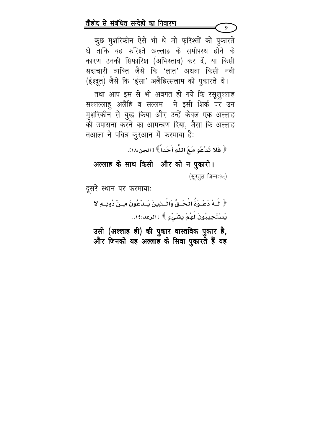कूछ मुशरिकीन ऐसे भी थे जो फुरिश्तों को पुकारते थे ताकि यह फरिश्ते अल्लाह के समीपस्थ होने के कारण उनकी सिफारिश (अभिस्ताव) कर दें, या किसी सदाचारी व्यक्ति जैसे कि 'लात' अथवा किसी नबी (ईश्दूत) जैसे कि 'ईसा' अलैहिस्सलाम को पुकारते थे।

 $\boldsymbol{Q}$ 

तथा आप इस से भी अवगत हो गये कि रसूलुल्लाह सल्लल्लाहु अलैहि व सल्लम ने इसी शिर्क पर उन मुशरिकीन से युद्ध किया और उन्हें केवल एक अल्लाह की उपासना करने का आमन्त्रण दिया, जैसा कि अल्लाह तआला ने पवित्र कुरआन में फरमाया है:

﴿ فَلا تَدْعُو مَعَ اللَّهِ أَحَداً ﴾ [ الجن:١٨].

# अल्लाह के साथ किसी और को न पुकारो। (सूरतुल जिन्न: १८)

दूसरे स्थान पर फरमायाः

﴿ لَـٰهُ دَعْـوَةُ الْحَـٰقِّ وَالْـَـٰزِينَ يَـٰدْعُونَ مِـنْ دُونِــهِ لا يَسْتَجِيبُونَ لَهُمْ بِشَيْءٍ ﴾ [ الرعد:١٤].

उसी (अल्लाह ही) की पुकार वास्तविक पुकार है, और जिनको यह अल्लाह के सिवा पुकारते हैं वह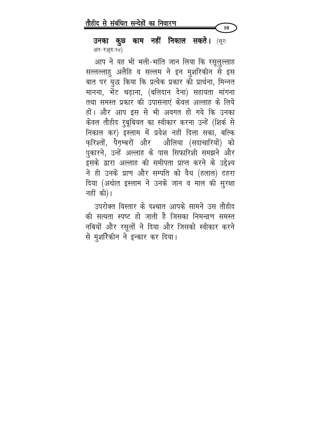10

उनका कुछ काम नहीं निकाल सकते। (सूरः अर-रअ़्दः१४)

आप ने यह भी भली-भांति जान लिया कि रसूलुल्लाह सल्लल्लाहु अलैहि व सल्लम ने इन मुशरिकीन से इस बात पर युद्ध किया कि प्रत्येक प्रकार की प्रार्थना, मिन्नत मानना, भेंट चढ़ाना, (बलिदान देना) सहायता मांगना तथा समस्त प्रकार की उपासनाएं केवल अल्लाह के लिये हों। और आप इस से भी अवगत हो गये कि उनका केवल तौहीद रुबूबियत का स्वीकार करना उन्हें (शिर्क से निकाल कर) इस्लाम में प्रवेश नहीं दिला सका, बल्कि फ़रिश्तों, पैग़म्बरों और औलिया (सदाचारियों) को पुकारने, उन्हें अल्लाह के पास सिफारिशी समझने और इसके द्वारा अल्लाह की समीपता प्राप्त करने के उद्देश्य ने ही उनके प्राण और सम्पति को वैध (हलाल) ठहरा दिया (अर्थात इस्लाम ने उनके जान व माल की सुरक्षा नहीं की)।

उपरोक्त विस्तार के पश्चात आपके सामने उस तौहीद की सत्यता स्पष्ट हो जाती है जिसका निमन्द्रण समस्त नबियों और रसूलों ने दिया और जिसको स्वीकार करने से मुशरिकीन ने इन्कार कर दिया।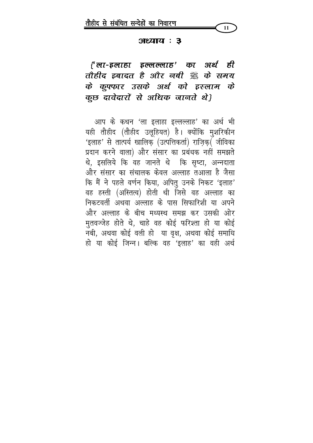

#### $3EZITZ:3$

{' ला-इलाहा इल्लल्लाह' का अर्थ ही तौहीद इबादत है और नबी ﷺ के समय के कूफ्फार उसके अर्थ को इस्लाम के कूछ दावेदारों से अधिक जानते थे}

आप के कथन 'ला इलाहा इल्लल्लाह' का अर्थ भी यही तौहीद (तौहीद उलूहियत) है। क्योंकि मुशरिकीन 'इलाह' से तात्पर्य खालिक (उत्पत्तिकर्ता) राज़िक्( जीविका प्रदान करने वाला) और संसार का प्रबंधक नहीं समझते थे, इसलिये कि वह जानते थे कि सृष्टा, अन्नदाता और संसार का संचालक केवल अल्लाह तआला है जैसा कि मैं ने पहले वर्णन किया, अपितु उनके निकट 'इलाह' वह हस्ती (अस्तित्व) होती थी जिसे वह अल्लाह का निकटवर्ती अथवा अल्लाह के पास सिफारिशी या अपने और अल्लाह के बीच मध्यस्थ समझ कर उसकी ओर मुतवज्जेह होते थे, चाहे वह कोई फरिश्ता हो या कोई नबी, अथवा कोई वली हो या वृक्ष, अथवा कोई समाधि हो या कोई जिन्न। बल्कि वह 'इलाह' का वही अर्थ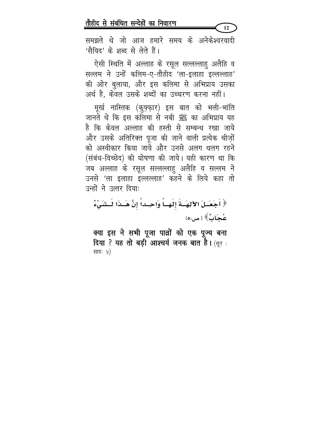समझते थे जो आज हमारे समय के अनेकेश्वरवादी 'सैयिद' के शब्द से लेते हैं।

 $12$ 

ऐसी स्थिति में अल्लाह के रसूल सल्लल्लाहु अलैहि व सल्लम ने उन्हें कलिम-ए-तौहीद 'ला-इलाहा इल्लल्लाह' की ओर बुलाया, और इस कलिमा से अभिप्राय उसका अर्थ है, केवल उसके शब्दों का उच्चरण करना नहीं।

मूर्ख नास्तिक (कुफ़्फ़ार) इस बात को भली-भांति जानते थे कि इस कलिमा से नबी ﷺ का अभिप्राय यह है कि केवल अल्लाह की हस्ती से सम्बन्ध रखा जाये और उसके अतिरिक्त पूजा की जाने वाली प्रत्येक चीज़ों को अस्वीकार किया जाये और उनसे अलग थलग रहने (संबंध-विच्छेद) की घोषणा की जाये। यही कारण था कि जब अल्लाह के रसूल सल्लल्लाहु अलैहि व सल्लम ने उनसे 'ला इलाहा इल्लल्लाह' कहने के लिये कहा तो उन्हों ने उत्तर दिया:

﴿ أَجَعَـلَ الآلِهَــةَ إِلَهَــاً وَاحِــداً إِنَّ هَــذَا لَــشَيْءٌ عُجَابٌ ﴾ [ ص:٥]

क्या इस ने सभी पूजा पाव्रों को एक पूज्य बना **दिया ? यह तो बड़ी आश्चर्य जनक बात है।** (सूर: सादः ५)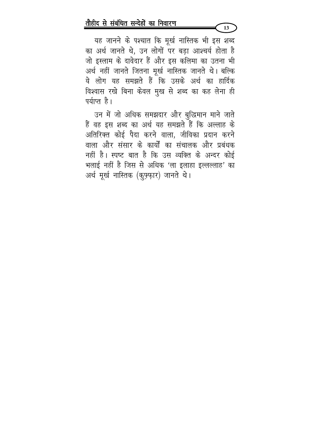यह जानने के पश्चात कि मूर्ख नास्तिक भी इस शब्द का अर्थ जानते थे, उन लोगों पर बड़ा आश्चर्य होता है जो इस्लाम के दावेदार हैं और इस कलिमा का उतना भी अर्थ नहीं जानते जितना मूर्ख नास्तिक जानते थे। बल्कि ये लोग यह समझते हैं कि उसके अर्थ का हार्दिक विश्वास रखे बिना केवल मुख से शब्द का कह लेना ही पर्याप्त है।

उन में जो अधिक समझदार और बुद्धिमान माने जाते हैं वह इस शब्द का अर्थ यह समझते हैं कि अल्लाह के अतिरिक्त कोई पैदा करने वाला, जीविका प्रदान करने वाला और संसार के कार्यों का संचालक और प्रबंधक नहीं है। स्पष्ट बात है कि उस व्यक्ति के अन्दर कोई भलाई नहीं है जिस से अधिक 'ला इलाहा इल्लल्लाह' का अर्थ मूर्ख नास्तिक (कूफ्फार) जानते थे।

 $13<sup>7</sup>$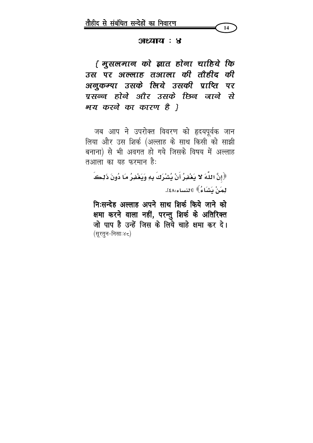

#### $3$  : अध्याय

{ मुसलमान को ज्ञात होना चाहिये कि उस पर अल्लाह तआला की तोहीद की अनुकम्पा उसके लिये उसकी प्राप्ति पर पसन्न होने और उसके फ़िन जाने से भय करने का कारण है }

जब आप ने उपरोक्त विवरण को हृदयपूर्वक जान लिया और उस शिर्क (अल्लाह के साथ किसी को साझी बनाना) से भी अवगत हो गये जिसके विषय में अल्लाह तआला का यह फरमान है:

﴿إِنَّ اللَّهَ لا يَغْفِرُ أَنْ يُشْرَكَ بِهِ وَيَغْفِرُ مَا دُونَ ذَلِكَ لْعَنْ نَشَاءُ》 [النساء:٤٨].

निःसन्देह अल्लाह अपने साथ शिर्क किये जाने को क्षमा करने वाला नहीं, परन्तु शिर्क के अतिरिक्त जो पाप है उन्हें जिस के लिये चाहे क्षमा कर दे। (सूरतून-निसाः४८)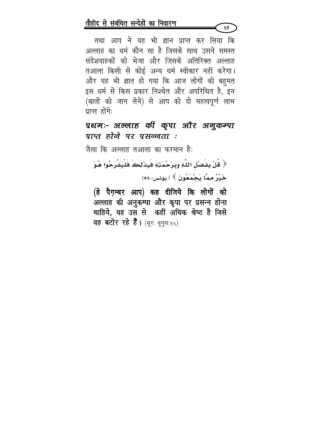तथा आप ने यह भी ज्ञान प्राप्त कर लिया कि अल्लाह का धर्म कौन सा है जिसके साथ उसने समस्त संदेशवाहकों को भेजा और जिसके अतिरिक्त अल्लाह तआला किसी से कोई अन्य धर्म स्वीकार नहीं करेगा। और यह भी ज्ञात हो गया कि आज लोगों की बहुमत इस धर्म से किस प्रकार निश्चेत और अपरिचित है, इन (बातों को जान लेने) से आप को दो महत्वपूर्ण लाभ पाप्त होंगे:

# प्रथमः- अल्लाह की कूपा और अनूकम्पा पाप्त होने पर प्रसन्नता :

जैसा कि अल्लाह तआला का फरमान है:

﴿ قُلْ بِفَضْلِ اللَّهِ وَبِرَحْمَتِهِ فَبِذَلِكَ فَلْيَفْرَحُوا هُوَ حَيْدٌ مِمَّا يَحْمَعُونَ ﴾ [ يونس: ٥٨]

(हे पैग़म्बर आप) कह दीजिये कि लोगों को अल्लाह की अनुकम्पा और कृपा पर प्रसन्न होना चाहिये, यह उस से कहीं अधिक श्रेष्ठ है जिसे वह बटोर रहे हैं। (सूरः यूनुसः ५८)

 $15<sub>15</sub>$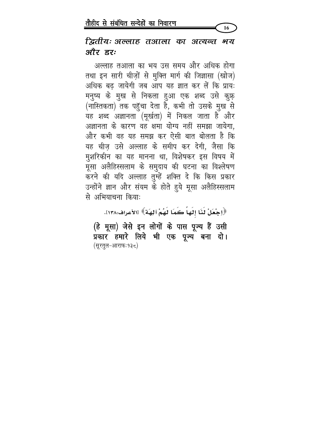16

### द्वितीयः अल्लाह तआला का अत्यन्त भय और इर:

अल्लाह तआला का भय उस समय और अधिक होगा तथा इन सारी चीज़ों से मुक्ति मार्ग की जिज्ञासा (खोज) अधिक बढ जायेगी जब आप यह ज्ञात कर लें कि प्रायः मनुष्य के मुख से निकला हुआ एक शब्द उसे कुफ़् (नॉस्तिकता) तक पहुँचा देता हैं, कभी तो उसके मुख से यह शब्द अज्ञानता (मूर्खता) में निकल जाता है और अज्ञानता के कारण वह क्षमा योग्य नहीं समझा जायेगा. और कभी वह यह समझ कर ऐसी बात बोलता है कि यह चीज़ उसे अल्लाह के समीप कर देगी, जैसा कि मुशरिकीन का यह मानना था, विशेषकर इस विषय में मूसा अलैहिस्सलाम के समुदाय की घटना का विश्लेषण करने की यदि अल्लाह तुम्हें शक्ति दे कि किस प्रकार उन्होंने ज्ञान और संयम के होते हुये मूसा अलैहिस्सलाम से अभियाचना किया:

﴿اِجْعَلْ لَذَا إِلَهَا ۖ كَمَا لَهُمْ آلِهَةٌ ﴾ [الأعراف:١٣٨].

(हे मूसा) जेसे इन लोगों के पास पूज्य हैं उसी प्रकार हमारे लिये भी एक पूज्य बना दो। (सूरतुल-आराफः१३८)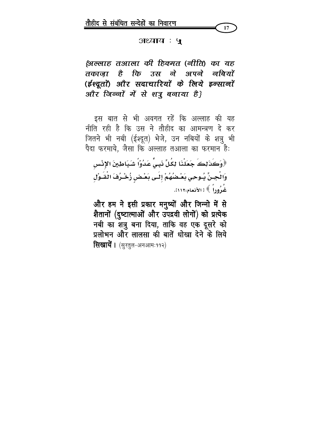

#### अध्याय : ५

# (अल्लाह तआला की हिक्मत (नीति) का यह तकाजा है कि उस ने अपने नबियों (ईश्द्रतों) और सदाचारियों के लिये इन्सानों और जिन्नों में से शत्रू बनाया है}

इस बात से भी अवगत रहें कि अल्लाह की यह नीति रही है कि उस ने तौहीद का आमन्त्रण दे कर जितने भी नबी (ईश्दूत) भेजे, उन नबियों के शत्रु भी पैदा फरमाये, जैसा कि अल्लाह तआला का फरमान है:

﴿وَكَذَلِكَ جَعَلْنَا لِكُلِّ نَبِيٍّ عَدُوّاً شَيَاطِينَ الإِنْسِ وَالْجِنِّ يُـوحِي بَعْـضُهُمْ إِلَـٰى بَعْـضِ زُخْـرُفَ الْقَـوْلِ عُدُوداً ﴾ [ الأنعام:١١٢].

और हम ने इसी प्रकार मनुष्यों और जिन्नो में से शैतानों (दुष्टात्माओं और उपद्रवी लोगों) को प्रत्येक नबी का शत्रु बना दिया, ताकि वह एक दूसरे को प्रलोभन और लालसा की बातें धोखा देने के लिये **सिखायें ।** (सुरतुल-अनआमः११२)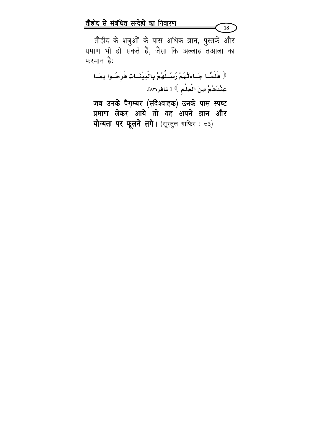तौहीद के शत्रुओं के पास अधिक ज्ञान, पुस्तकें और प्रमाण भी हो सकते हैं, जैसा कि अल्लाह तआला का फरमान है:

18

﴿ فَلَمَّــا جَــَاءَتْهُمْ رُسُــلُهُمْ بِالْبَيِّنَــاتِ فَرحُــوا بِمَــا عِنْدَهُمْ مِنَ الْعِلْمِ ﴾ [ غافر:٨٣].

जब उनके पैग़म्बर (संदेश्वाहक) उनके पास स्पष्ट प्रमाण लेकर आये तो वह अपने ज्ञान और योग्यता पर फूलने लगे। (सूरतुल-ग़ाफिर: ८३)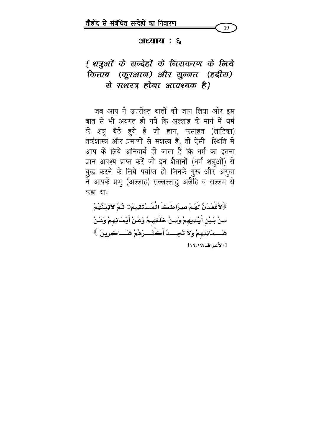

#### $3.3$  :  $3.5$

# { शत्रुओं के सन्देहों के निराकरण के लिये किताब (कूरआन) और सुन्नत (हदीस) से सशस्त्र होना आवश्यक है।

जब आप ने उपरोक्त बातों को जान लिया और इस बात से भी अवगत हो गये कि अल्लाह के मार्ग में धर्म के शत्रु बैठे हुये हैं जो ज्ञान, फसाहत (लाटिका) तर्कशास्त्र और प्रमाणों से सशस्त्र हैं, तो ऐसी स्थिति में आप के लिये अनिवार्य हो जाता है कि धर्म का इतना ज्ञान अवश्य प्राप्त करें जो इन शैतानों (धर्म शत्रुओं) से युद्ध करने के लिये पर्याप्त हो जिनके गुरू और अगुवा ने आपके प्रभु (अल्लाह) सल्लल्लाहु अलैहि व सल्लम से कहा था:

﴿ لأَقْعُدَنَّ لَهُمْ صِرَاطَكَ الْمُسْتَقِيمَO ثُمَّ لآتِيَنَّهُمْ مِنْ بَيْنِ أَيْدِيهِمْ وَمِنْ خَلْفِهِمْ وَعَنْ أَيْمَانِهِمْ وَعَنْ شَـــمَائِلِهِمْ وَلا تَجِـــدُ أَكُثْـــرَهُمْ شَـــاكِرِينَ ﴾ [ الأعراف:١٦،١٧]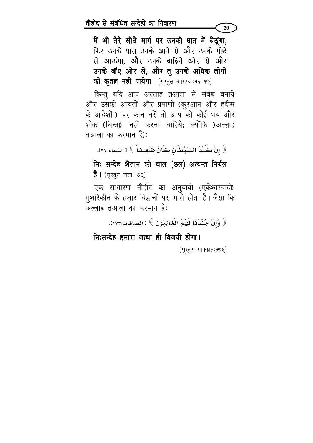मैं भी तेरे सीधे मार्ग पर उनकी घात में बैठूंगा, फिर उनके पास उनके आगे से और उनके पीछे से आऊंगा. और उनके दाहिने ओर से और उनके बॉए ओर से, और तू उनके अधिक लोगों को कृतज्ञ नहीं पायेगा। (सूरतुल-आराफ :१६-१७)

20

किन्तु यदि आप अल्लाह तआला से संबंध बनायें और उसकी आयतों और प्रमाणों (कुरआन और हदीस के आदेशों ) पर कान धरें तो आप को कोई भय और शोक (चिन्ता) नहीं करना चाहिये; क्योंकि )अल्लाह तआला का फरमान है):

﴿ إِنَّ كَيْدَ الشَّيْطَانِ كَانَ ضَعِيفاً ﴾ [النساء:٧٦]. निः सन्देह शैतान की चाल (छल) अत्यन्त निर्बल **है ।** (सूरतून-निसाः ७६)

एक साधारण तौहीद का अनुयायी (एकेश्वरवादी) मुशरिकीन के हज़ार विद्वानों पर भारी होता है। जैसा कि अल्लाह तआ़ला का फरमान है:

﴿ وَإِنَّ جُنْدَنَا لَهُمُ الْغَالِبُونَ ﴾ [الصافات:١٧٣]. नि:सन्देह हमारा जत्था ही विजयी होगा। (सूरतूस-साफ्फातः १७६)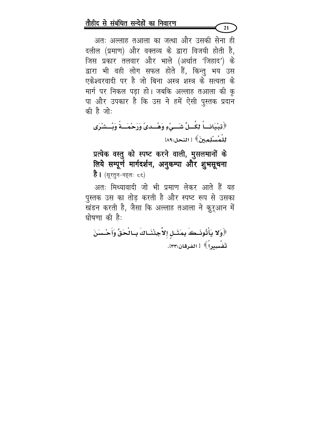अतः अल्लाह तआला का जत्था और उसकी सेना ही दलील (प्रमाण) और वक्तव्य के द्वारा विजयी होती है, जिस प्रकार तलवार और भाले (अर्थात 'जिहाद') के द्वारा भी वही लोग सफल होते हैं, किन्तु भय उस एकेश्वरवादी पर है जो बिना अस्त्र शस्त्र के सत्यता के मार्ग पर निकल पड़ा हो। जबकि अल्लाह तआला की कृ पा और उपकार है कि उस ने हमें ऐसी पुस्तक प्रदान की है जो:

 $21$ 

﴿تِبْيَانِكاً لِكُسِلِّ شَسَىٰءٍ وَهُسَدِيَّ وَرَحْمَسَةً وَبُسِشْرَى للْمُسْلِمِينَ﴾ [ النحل:١٨٩]

प्रत्येक वस्तु को स्पष्ट करने वाली, मुसलमानों के लिये सम्पूर्ण मार्गदर्शन, अनुकम्पा और शुभसूचना **है ।** (सूरतुन-नहलः ८६)

अतः मिथ्यावादी जो भी प्रमाण लेकर आते हैं यह पुस्तक उस का तोड़ करती है और स्पष्ट रूप से उसका खंडन करती है, जैसा कि अल्लाह तआला ने कुरूआन में घोषणा की है:

﴿وَلَا يَأْتُونَـكَ بِمَثَـلٍ إِلاَّجِئْنَـاكَ بِـالْحَقِّ وَأَحْـسَنَ تَفْسِيراً﴾ [الفرقان:٢٣].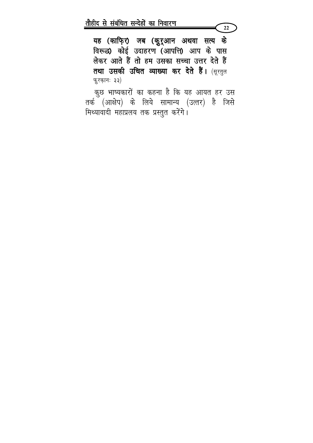यह (काफि़र) जब (कुरूआन अथवा सत्य के विरूद्ध) कोई उदाहरण (आपत्ति) आप के पास लेकर आते हैं तो हम उसका सच्चा उत्तर देते हैं तथा उसकी उचित व्याख्या कर देते हैं। (सूरतुल फुरकानः ३३)

 $22$ 

कुछ भाष्यकारों का कहना है कि यह आयत हर उस तर्क (आक्षेप) के लिये सामान्य (उत्तर) है जिसे मिथ्यावादी महाप्रलय तक प्रस्तुत करेंगे।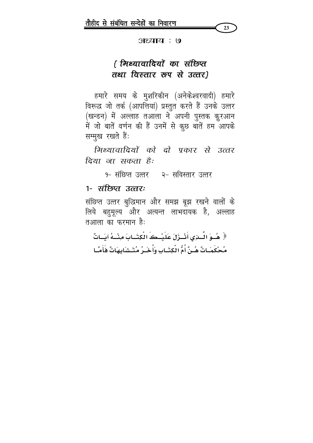

#### अध्याय : ७

# { मिथ्यावादियों का संछिप्त तथा विस्तार रूप से उत्तर}

हमारे समय के मुशरिकीन (अनेकेश्वरवादी) हमारे विरूद्ध जो तर्क (आपत्तियां) प्रस्तुत करते हैं उनके उत्तर (खन्डन) में अल्लाह तआला ने अपनी पुस्तक कुरआन में जो बातें वर्णन की हैं उनमें से कुछ बातें हम आपके सम्मूख रखते हैं:

मिथ्यावादियों को दो पकार से उत्तर दिया जा सकता है:

१- संछिप्त उत्तर - २- सविस्तार उत्तर

### <u> १- संंछिप्त उत्तरः</u>

संछिप्त उत्तर बुद्धिमान और समझ बूझ रखने वालों के लिये बहुमूल्य और अत्यन्त लाभदायक है, अल्लाह तआला का फरमान है:

﴿ هُـوَ الْـذِي أَنْـزَلَ عَلَيْـكَ الْكِتَـابَ مِنْـهُ آيَـاتٌ مُحْكَمَـاتٌ هُـنَّ أُمُّ الْكِتَـابِ وَأُخَـرُ مُتَـشَابِهَاتٌ فَأَمَّـا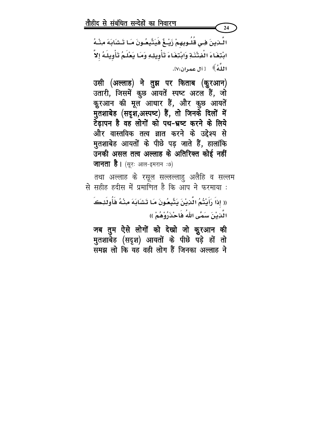اللَّذِينَ فِـى قَلُـوبِهِمْ زَيْــغٌ فَيَتَّبِعُـونَ مَـا تَـشَابَهَ مِنْــهُ ابْتِغَاءَ الْفِتْنَةِ وَابْتِغَاءَ تَأْوِيلِهِ وَمَا يَعْلَمُ تَأْوِيلَهُ إِلاَّ اللَّهُ﴾ [آل عمران:٧].

24

उसी (अल्लाह) ने तुझ पर किताब (कुरआन) उतारी, जिसमें कुछ आयतें स्पष्ट अटल हैं, जो कुरआन की मूल आधार हैं, और क़ूछ आयतें मुतशाबेह (सदृश,अस्पष्ट) हैं, तो जिनके दिलों में टेढ़ापन है वह लोगों को पथ-भ्रष्ट करने के लिये और वास्तविक तत्व ज्ञात करने के उद्देश्य से मुतशाबेह आयतों के पीछे पड़ जाते हैं, हालांकि उनकी असल तत्व अल्लाह के अतिरिक्त कोई नहीं जानता है। (सूरः आल-इमरान :७)

तथा अल्लाह के रसूल सल्लल्लाहु अलैहि व सल्लम से सहीह हदीस में प्रमाणित है कि आप ने फरमाया :

(( إذاَ رَأَيْتُمُ الّْذِيْنَ يَتَّبِعُونَ مَا تَشَابَهَ مِنْهُ فَأُولَئِكَ الَّذِيْنَ سَمَّى اللهُ فَاحْذَرُوْهُمْ ))

जब तुम ऐसे लोगों को देखो जो कुुरआन की मुतशाबेह (सदृश) आयतों के पीछे पड़े हों तो समझ लो कि यह वही लोग हैं जिनका अल्लाह ने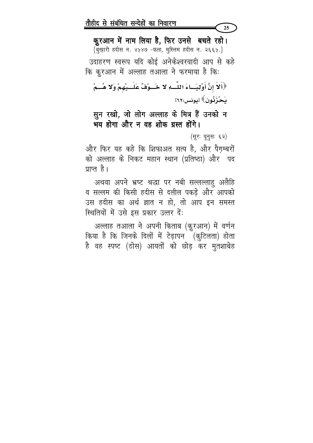कुरआन में नाम लिया है, फिर उनसे बचते रहो। {बुख़ारी हदीस न. ४५४७ -फत्ह, मुस्लिम हदीस न. २६६५.}

उदाहरण स्वरूप यदि कोई अनेकेश्वरवादी आप से कहे कि कुरआन में अल्लाह तआला ने फरमाया है कि:

﴿أَلَا إِنَّ أَوْلِيَـاءَ اللَّــهِ لَا خَــوْفٌ عَلَــيْهِمْ وَلَا هُـــمْ يَحْزَنُونَ﴾ [يونس:٢٦٢]

# सून रखो, जो लोग अल्लाह के मित्र हैं उनको न भय होगा और न वह शोक ग्रस्त होंगे।

(सूरः यूनुसः ६२)

25

और फिर यह कहे कि शिफाअत सत्य है, और पैग़म्बरों को अल्लाह के निकट महान स्थान (प्रतिष्ठा) और पद पाप्त है।

अथवा अपने भ्रष्ट श्रद्धा पर नबी सल्लल्लाहु अलैहि व सल्लम की किसी हदीस से दलील पकड़े और आपको उस हदीस का अर्थ ज्ञात न हो, तो आप इन समस्त स्थितियों में उसे इस प्रकार उत्तर दें:

अल्लाह तआला ने अपनी किताब (क़ुरआन) में वर्णन किया है कि जिनके दिलों में टेढ़ापन (कुटिलता) होता है वह स्पष्ट (ठोस) आयतों को छोड़ कर मुतशाबेह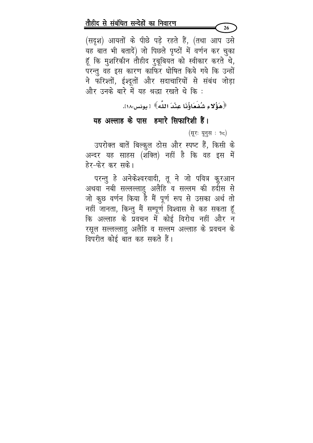(सदृश) आयतों के पीछे पड़े रहते हैं, (तथा आप उसे यह बात भी बतादें) जो पिछले पृष्ठों में वर्णन कर चुका हूँ कि मुशरिकीन तौहीद रुबूबियत को स्वीकार करते थे, परन्तु वह इस कारण काफिर घोषित किये गये कि उन्हों ने फरिश्तों, ईश्दूतों और सदाचारियों से संबंध जोड़ा और उनके बारे में यह श्रद्धा रखते थे कि :

﴿هَؤُلاءِ شُفَعَاؤُذَا عِنْدَ اللَّهِ﴾ [ يونس:١٨].

### यह अल्लाह के पास हमारे सिफारिशी हैं।

(सूरः यूनुस : १८)

उपरोक्त बातें बिल्कुल ठोस और स्पष्ट हैं, किसी के अन्दर यह साहस (शक्ति) नहीं है कि वह इस में हेर-फेर कर सके।

परन्तु हे अनेकेश्वरवादी, तू ने जो पवित्र कुरआन अथवा नबी सल्लल्लाहु अलैहि व सल्लम की हर्दास से जो कुछ वर्णन किया है मैं पूर्ण रूप से उसका अर्थ तो नहीं जानता, किन्तु मैं सम्पूर्ण विश्वास से कह सकता हूँ कि अल्लाह के प्रवचन में कोई विरोध नहीं और न रसूल सल्लल्लाहु अलैहि व सल्लम अल्लाह के प्रवचन के विपरीत कोई बात कह सकते हैं।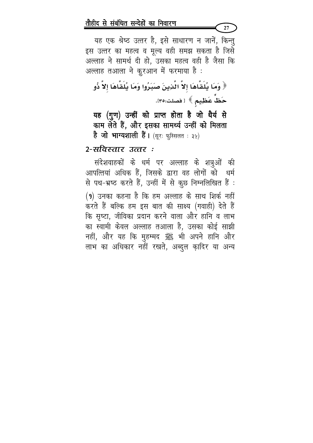यह एक श्रेष्ठ उत्तर है, इसे साधारण न जानें, किन्तु इस उत्तर का महत्व व मूल्य वही समझ सकता है जिसे अल्लाह ने सामर्थ दी हो, उसका महत्व वही है जैसा कि अल्लाह तआला ने कुरआन में फरमाया है :

﴿ وَمَا يُلَقَّاهَا إِلاَّ الَّذِينَ صَبَرُوا وَمَا يُلَقَّاهَا إِلاَّ ذُو حَظٌّ عَظِيمٍ ﴾ [فصلت:٢٥].

यह (गुण) उन्हीं को प्राप्त होता है जो धैर्य से काम लेते हैं, और इसका सामर्थ्य उन्हीं को मिलता है जो भाग्यशाली हैं। (सूरः फुस्सिलत : ३५)

### 2-सविस्तार उत्तर :

संदेशवाहकों के धर्म पर अल्लाह के शत्रुओं की आपत्तियां अधिक हैं, जिसके द्वारा वह लोगों को धर्म से पथ-भ्रष्ट करते हैं, उन्हीं में से कुछ निम्नलिखित हैं :  $(9)$  उनका कहना है कि हम अल्लाह के साथ शिर्क नहीं करते हैं बल्कि हम इस बात की साक्ष्य (गवाही) देते हैं कि सृष्टा, जीविका प्रदान करने वाला और हानि व लाभ का स्वामी केवल अल्लाह तआला है, उसका कोई साझी नहीं, और यह कि मुहम्मद ﷺ भी अपने हानि और लाभ का अधिकार नहीं रखते, अब्दुल क़ादिर या अन्य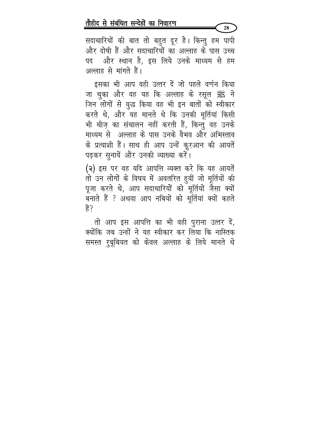सदाचारियों की बात तो बहुत दूर है। किन्तु हम पापी और दोषी हैं और सदाचारियों का अल्लाह के पास उच्च पद और स्थान है, इस लिये उनके माध्यम से हम अल्लाह से मांगते हैं।

इसका भी आप वही उत्तर दें जो पहले वर्णन किया जा चुका और वह यह कि अल्लाह के रसूल ﷺ ने जिन लोगों से युद्ध किया वह भी इन बातों को स्वीकार करते थे, और यह मानते थे कि उनकी मूर्तियां किसी भी चीज़ का संचालन नहीं करती हैं, किन्तु वह उनके माध्यम से अल्लाह के पास उनके वैभव और अभिस्ताव के प्रत्याशी हैं। साथ ही आप उन्हें कुरआन की आयतें पढ़कर सुनायें और उनकी व्याख्या करें।

(२) इस पर वह यदि आपत्ति व्यक्त करे कि यह आयतें तो उन लोगों के विषय में अवतरित हुयीं जो मूर्तियों की पूजा करते थे, आप सदाचारियों को मूर्तियों जैसा क्यों बनाते हैं ? अथवा आप नबियों को मूर्तियां क्यों कहते 훍?

तो आप इस आपत्ति का भी वही पुराना उत्तर दें, क्योंकि जब उन्हों ने यह स्वीकार कर लिया कि नास्तिक समस्त रुबूबियत को केवल अल्लाह के लिये मानते थे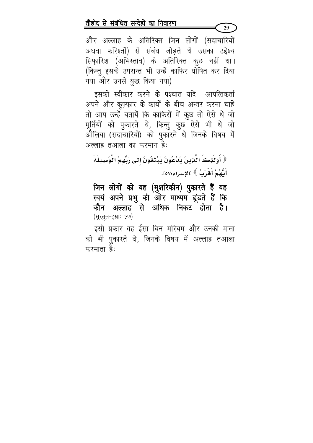और अल्लाह के अतिरिक्त जिन लोगों (सदाचारियों अथवा फरिश्तों) से संबंध जोड़ते थे उसका उद्देश्य सिफ़ारिश (अभिस्ताव) के अतिरिक्त कुछ नहीं था। (किन्तु इसके उपरान्त भी उन्हें काफिर घोषित कर दिया गया और उनसे युद्ध किया गया)

इसको स्वीकार करने के पश्चात यदि आपत्तिकर्ता अपने और क़ूफ़्फ़ार के कार्यों के बीच अन्तर करना चाहें तो आप उन्हें बतायें कि काफिरों में कुछ तो ऐसे थे जो मूर्तियों को पुकारते थे, किन्तु कुछ ऐसे भी थे जो औलिया (सदाचारियों) को पुकारते थे जिनके विषय में अल्लाह तआला का फरमान है:

﴿ أُولَئِكَ الّْذِينَ يَدْعُونَ يَبْتَغُونَ إِلَى رَبِّهِمُ الْوَسِيلَةَ أَدُّهُمْ أَقْرَبُ ﴾ [الإسراء:٥٧].

जिन लोगों को यह (मुशरिकीन) पुकारते हैं वह स्वयं अपने प्रभु की ओर माध्यम ढूंडते हैं कि कौन अल्लाह से अधिक निकट होता है। (सूरतुल-इस्राः ५७)

इसी प्रकार वह ईसा बिन मरियम और उनकी माता को भी पुकारते थे, जिनके विषय में अल्लाह तआला फरमाता है: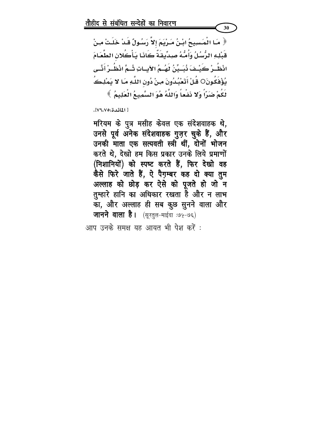﴿ مَـا الْمَسَسِيحُ ابْـنُ مَـرْيَمَ إِلاَّ رَسُـولٌ قَـدْ خَلَـتْ مِـنْ قَبْلِهِ الرُّسُلُ وَأُمُّهُ صِدِّيقَةً كَانَـا يَـأْكُلان الطَّعَـامَ انْظُــرْ كَيْــفَ نُبَــيِّنُ لَهُــمُ الآيــاتِ شُـمَّ انْظُــرْ أَنَّــى يُؤْفَكُونَ○ قُلْ أَتَعْبُدُونَ مِنْ دُونِ اللَّهِ مَـا لا يَمْلِـڪُ لَكُمْ ضَرّاً وَلا نَفْعاً وَاللَّهُ هُوَ السَّمِيعُ الْعَلِيمُ ﴾

30

[ المائدة:٧٩/٧].

मरियम के पुत्र मसीह केवल एक संदेशवाहक थे, उनसे पूर्व अनेक संदेशवाहक गुज़र चुके हैं, और उनकी माता एक सत्यवती स्त्री थीं, दोनों भोजन करते थे, देखो हम किस प्रकार उनके लिये प्रमाणों (निशानियों) को स्पष्ट करते हैं, फिर देखो वह कैसे फिरे जाते हैं, ऐ पैग़म्बर कह दो क्या तुम अल्लाह को छोड़ कर ऐसे को पूजते हो जो न तुम्हारे हानि का अधिकार रखता है और न लाभ का, और अल्लाह ही सब कुछ सुनने वाला और **जानने वाला है।** (सूरतुल-माईदा :७५-७६)

आप उनके समक्ष यह आयत भी पेश करें :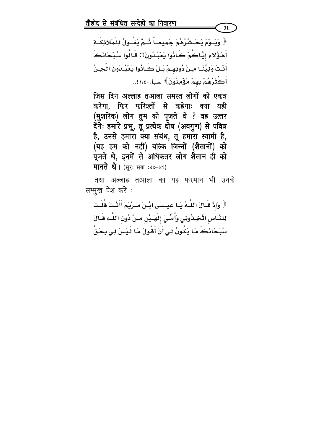﴿ وَيَــوْمَ يَحْــشُرُهُمْ جَمِيعــاً شُـمَّ يَقُــولُ لِلْمَلائِكَــةِ أَهَؤُلاءِ إيَّاكُمْ كَانُوا يَعْبُدُونَO قَـَالُوا سُبْحَانَكَ أَنْتَ وَلِيُّنَـا مِـنْ دُونِهِـمْ بَـلْ كَـانُوا يَعْبُـدُونَ الْجِـنَّ أَكْثَرُهُمْ بِهِمْ مُؤْمِنُونَ﴾ اسبأ:١،٤١،٤١٠.

31

जिस दिन अल्लाह तआला समस्त लोगों को एकत्र करेगा, फिर फरिश्तों से कहेगाः क्या यही (मुशरिक) लोग तुम को पूजते थे ? वह उत्तर देंगेः हमारे प्रभू, तू प्रत्येक दोष (अवगुण) से पवित्र है, उनसे हमारा क्या संबंध, तू हमारा स्वामी है, (यह हम को नहीं) बल्कि जिन्नों (शैतानों) को पूजते थे, इनमें से अधिकतर लोग शैतान ही को मानते थे। (सूरः सबा :४०-४१)

तथा अल्लाह तआला का यह फरमान भी उनके सम्मूख पेश करें :

﴿ وَإِذْ قَـالَ اللَّـهُ يَـا عِيـسَى ابْـنَ مَـرْيَمَ أَأَنْـتَ قُلْـتَ لِلنَّـاس اتَّخِـذُوذِي وَأُمِّـيَ إلهَـَيْنِ مِـنْ دُونِ اللَّـهِ قَـالَ سُبْحَاذَكَ مَـَا يَكُونُ لِـى أَنْ أَقُولَ مَـَا لَـيْسَ لِـى بِحَـقٍّ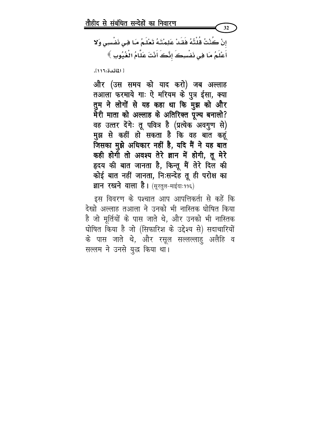إنْ كُنْتُ قُلْتُهُ فَقَدْ عَلِمْتَهُ تَعْلَمُ مَا فِي نَفْسِي وَلا أَعْلَمُ مَا فِي نَفْسِكَ إِنَّكَ أَنْتَ عَلَّامُ الْغُيُوبِ ﴾

32

[ المائدة:١١١٦.

और (उस समय को याद करो) जब अल्लाह तआला फरमाये गाः ऐ मरियम के पुत्र ईसा, क्या तुम ने लोगों से यह कहा था कि मुझ को और मेरी माता को अल्लाह के अतिरिक्त पूज्य बनालो? वह उत्तर देंगेः तू पवित्र है (प्रत्येक अवगुण से) मुझ से कहीं हो सकता है कि वह बात कहूं जिसका मुझे अधिकार नहीं है, यदि मैं ने यह बात कही होगी तो अवश्य तेरे ज्ञान में होगी, तू मेरे हृदय की बात जानता है, किन्तू मैं तेरे दिल की कोई बात नहीं जानता, निःसन्देह तू ही परोक्ष का ज्ञान रखने वाला है। (सूरतुल-माईदाः ११६)

इस विवरण के पश्चात आप आपत्तिकर्ता से कहें कि देखो अल्लाह तआला ने उनको भी नास्तिक घोषित किया है जो मूर्तियों के पास जाते थे, और उनको भी नास्तिक घोषित किया है जो (सिफारिश के उद्देश्य से) सदाचारियों के पास जाते थे, और रसूल सल्लल्लाहु अलैहि व सल्लम ने उनसे युद्ध किया था।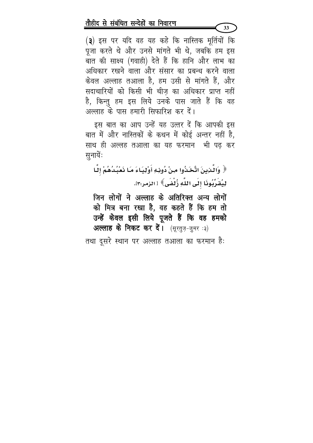(३) इस पर यदि वह यह कहे कि नास्तिक मूर्तियों कि पूजा करते थे और उनसे मांगते भी थे, जबकि हम इस बात की साक्ष्य (गवाही) देते हैं कि हानि और लाभ का अधिकार रखने वाला और संसार का प्रबन्ध करने वाला केवल अल्लाह तआला है, हम उसी से मांगते हैं, और सदाचारियों को किसी भी चीज़ का अधिकार प्राप्त नहीं है, किन्तु हम इस लिये उनके पास जाते हैं कि वह अल्लाह के पास हमारी सिफारिश कर दें।

इस बात का आप उन्हें यह उत्तर दें कि आपकी इस बात में और नास्तिकों के कथन में कोई अन्तर नहीं है, साथ ही अल्लह तआ़ला का यह फरमान भी पढ़ कर सुनायेंः

﴿ وَالْمَدِينَ اتَّخَذُوا مِنْ دُونِهِ أَوْلِيَاءَ مَا نَعْبُدُهُمْ إِلَّا لِيُقَرِّبُوذَا إلَى اللَّهِ زُلْفَى﴾ [ الزمر:٣].

जिन लोगों ने अल्लाह के अतिरिक्त अन्य लोगों को मित्र बना रखा है, वह कहते हैं कि हम तो उन्हें केवल इसी लिये पूजते हैं कि वह हमको अल्लाह के निकट कर दें। (सुरतुज़-जुमर:३)

तथा दूसरे स्थान पर अल्लाह तआला का फरमान है: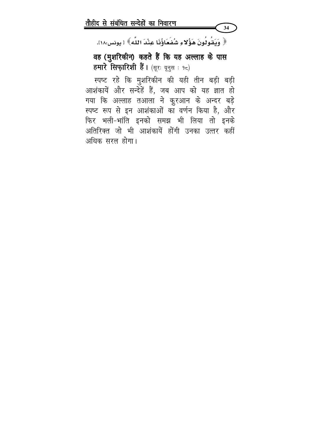﴿ وَيَقُولُونَ هَؤُلاءِ شُفَعَاؤُنَا عِنْدَ اللَّهِ﴾ [ يونس:١٨].

34

वह (मुशरिकीन) कहते हैं कि यह अल्लाह के पास हमारे सिफ़ारिशी हैं। (सूरः यूनुस: १८)

स्पष्ट रहे कि मुशरिकीन की यही तीन बड़ी बड़ी आशंकायें और सन्देहें हैं, जब आप को यह ज्ञात हो गया कि अल्लाह तआला ने कुरआन के अन्दर बड़े स्पष्ट रूप से इन आशंकाओं का वर्णन किया है, और फिर भली-भांति इनको समझ भी लिया तो इनके अतिरिक्त जो भी आशंकायें होंगी उनका उत्तर कहीं अधिक सरल होगा।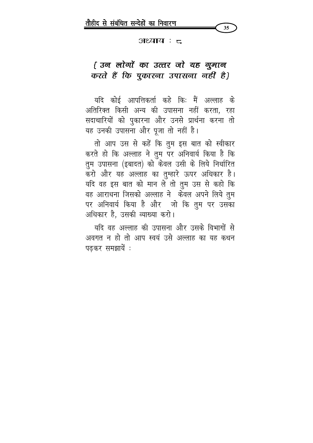

#### अध्याय : ट

# { उन लोगों का उत्तर जो यह गुमान करते हैं कि पुकारना उपासना नहीं है}

यदि कोई आपत्तिकर्ता कहे किः मैं अल्लाह के अतिरिक्त किसी अन्य की उपासना नहीं करता, रहा सदाचारियों को पुकारना और उनसे प्रार्थना करना तो यह उनकी उपासना और पूजा तो नहीं है।

तो आप उस से कहें कि तुम इस बात को स्वीकार करते हो कि अल्लाह ने तुम पर अनिवार्य किया है कि तुम उपासना (इबादत) को केवल उसी के लिये निर्धारित करो और यह अल्लाह का तुम्हारे ऊपर अधिकार है। यदि वह इस बात को मान ले तो तुम उस से कहो कि वह आराधना जिसको अल्लाह ने केवल अपने लिये तुम पर अनिवार्य किया है और जो कि तुम पर उसका अधिकार है, उसकी व्याख्या करो।

यदि वह अल्लाह की उपासना और उसके विभागों से अवगत न हो तो आप स्वयं उसे अल्लाह का यह कथन पढकर समझायें :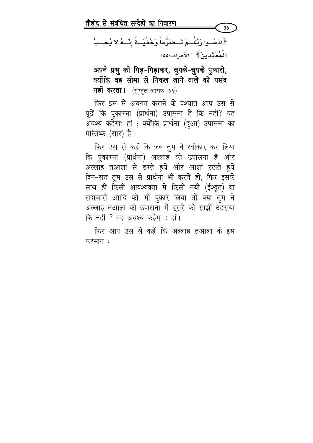﴿ادْعُــوا رَبَّكُــمْ تَــضَرُّعاً وَخُفْيَــةً إنَّـــهُ لا يُحِــبُّ الْمُعْتَدِينَ﴾ [الأعراف:٥٥].

36

अपने प्रभु को गिड़-गिड़ाकर, चुपके-चुपके पुकारो, क्योंकि वह सीमा से निकल जाने वाले को पसंद नहीं करता। (सूरतुल-आराफ :५५)

फिर इस से अवगत कराने के पश्चात आप उस से पूछें कि पुकारना (प्रार्थना) उपासना है कि नहीं? वह अवश्य कहेगाः हां ; क्योंकि प्रार्थना (दुआ) उपासना का मस्तिष्क (सार) है।

फिर उस से कहें कि जब तुम ने स्वीकार कर लिया कि पुकारना (प्रार्थना) अल्लाह की उपासना है और अल्लाह तआला से डरते हुये और आशा रखते हुये दिन-रात तुम उस से प्रार्थना भी करते हो, फिर इसके साथ ही किसी आवश्यक्ता में किसी नबी (ईश्दूत) या सदाचारी आादि को भी पुकार लिया तो क्या तुम ने अल्लाह तआला की उपासना में दूसरे को साझी ठहराया कि नहीं ? वह अवश्य कहेगा : हां।

फिर आप उस से कहें कि अल्लाह तआला के इस फरमान: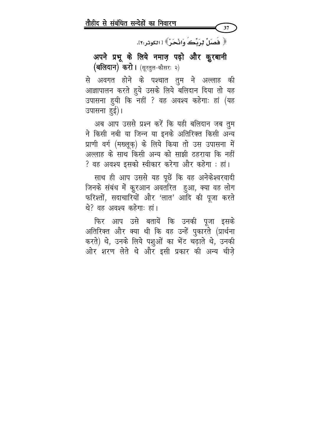﴿ فَصَلِّ لِرَيِّكَ وَانْحَنُّ﴾ [ الكوثر:٢].

37

अपने प्रभू के लिये नमाज़ पढ़ो और कुरबानी (बलिदान) करो। (सूरतुल-कौसरः २)

से अवगत होने के पश्चात तुम ने अल्लाह की आज्ञापालन करते हुये उसके लिये बलिदान दिया तो यह उपासना हुयी कि नहीं ? वह अवश्य कहेगाः हां (यह उपासना हुई)।

अब आप उससे प्रश्न करें कि यही बलिदान जब तुम ने किसी नबी या जिन्न या इनके अतिरिक्त किसी अन्य प्राणी वर्ग (मख्लूक़) के लिये किया तो उस उपासना में अल्लाह के साथ किसी अन्य को साझी ठहराया कि नहीं ? वह अवश्य इसको स्वीकार करेगा और कहेगा : हां।

साथ ही आप उससे यह पूछें कि वह अनेकेश्वरवादी जिनके संबंध में कुरआन अवतरित हुआ, क्या वह लोग फरिश्तों, सदाचारियों और 'लात' आदि की पूजा करते थे? वह अवश्य कहेगा: हां।

फिर आप उसे बतायें कि उनकी पूजा इसके अतिरिक्त और क्या थी कि वह उन्हें पुकारते (प्रार्थना करते) थे, उनके लिये पशुओं का भेंट चढ़ाते थे, उनकी ओर शरण लेते थे और इसी प्रकार की अन्य चीज़े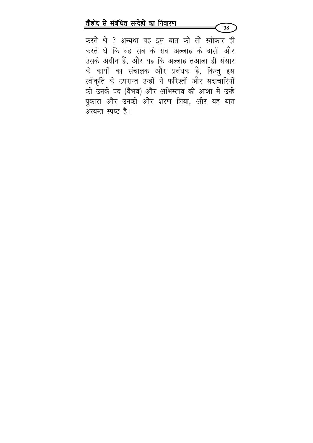करते थे ? अन्यथा वह इस बात को तो स्वीकार ही करते थे कि वह सब के सब अल्लाह के दासी और उसके अधीन हैं, और यह कि अल्लाह तआला ही संसार के कार्यों का संचालक और प्रबंधक है, किन्तु इस स्वीकृति के उपरान्त उन्हों ने फरिश्तों और सदाचारियों को उनके पद (वैभव) और अभिस्ताव की आशा में उन्हें पुकारा और उनकी ओर शरण लिया, और यह बात अत्यन्त स्पष्ट है।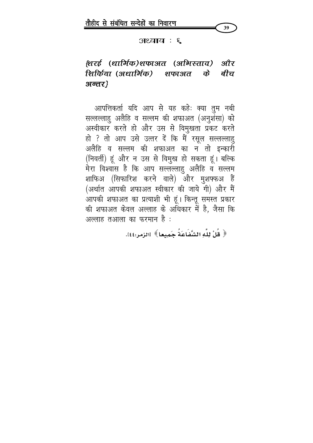

 $3$  : सियाय

# (शरई (धार्मिक)शफाअत (अभिस्ताव) और शिर्किया (अधार्मिक) शफाअत के बीच अन्तर}

आपत्तिकर्ता यदि आप से यह कहेः क्या तुम नबी सल्लल्लाहु अलैहि व सल्लम की शफाअत (अनुशंसा) को अस्वीकार करते हो और उस से विमुखता प्रकट करते हो ? तो आप उसे उत्तर दें कि मैं रसूल सल्लल्लाहु अलैहि व सल्लम की शफाअत का न तो इन्कारी (निवर्ती) हूं और न उस से विमुख हो सकता हूं। बल्कि मेरा विश्वास है कि आप सल्लल्लाहु अलैहि व सल्लम शाफिअ (सिफारिश करने वाले) और मुशफ्फअ हैं (अर्थात आपकी शफाअत स्वीकार की जाये गी) और मैं .<br>आपकी शफाअत का प्रत्याशी भी हूं। किन्तू समस्त प्रकार की शफाअत केवल अल्लाह के अधिकार में है, जैसा कि अल्लाह तआला का फरमान है :

﴿ قُلْ لِلَّهِ الشَّفَاعَةُ حَميعا ﴾ [الزمر:٤٤].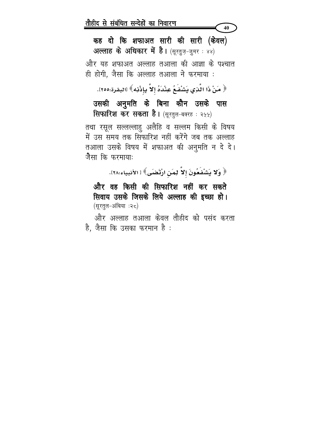कह दो कि शफाअत सारी की सारी (केवल) अल्लाह के अधिकार में है। (सूरतुज़-जुमर: ४४)

40

और यह शफाअत अल्लाह तआला की आज्ञा के पश्चात ही होगी, जैसा कि अल्लाह तआ़ला ने फरमाया :

﴿ مَنْ ذَا الَّذِي يَشْفَعُ عِنْدَهُ إِلاَّ بِإِذْنِهِ﴾ [البقرة:٢٥٥].

उसकी अनुमति के बिना कौन उसके पास सिफारिश कर सकता है। (सूरतुल-बक्र्स : २५५)

तथा रसूल सल्लल्लाहु अलैहि व सल्लम किसी के विषय में उस समय तक सिफारिश नहीं करेंगे जब तक अल्लाह तआला उसके विषय में शफाअत की अनुमति न दे दे। जैसा कि फरमाया:

﴿ وَلَا يَشْفَعُونَ إِلاَّ لِمَنِ ارْتَضَى﴾ [ الأنبياء:٢٨].

और वह किसी की सिफारिश नहीं कर सकते सिवाय उसके जिसके लिये अल्लाह की इच्छा हो। (सूरतूल-अंबिया :२८)

और अल्लाह तआला केवल तौहीद को पसंद करता है, जैसा कि उसका फरमान है: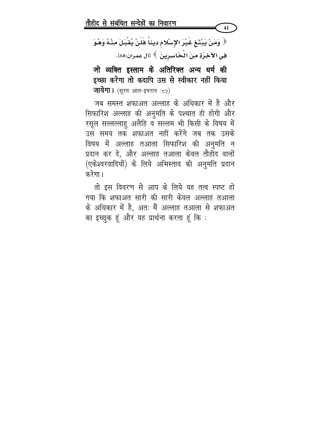﴿ وَمَنْ يَبْتَغِ غَيْرَ الإِسْلامِ دِيناً فَلَنْ يُقْبَلَ مِنْهُ وَهُوَ هِي الآخِرَةِ مِنَ الْخَاسِرِينَ ﴾ [آل عمران:٨٥].

41

जो व्यक्ति इस्लाम के अतिरिक्त अन्य धर्म की इच्छा करेगा तो कदापि उस से स्वीकार नहीं किया **जायेगा।** (सूरत आल-इमरान**ः**८५)

जब समस्त शफाअत अल्लाह के अधिकार में है और सिफारिश अल्लाह की अनुमति के पश्चात ही होगी और रसूल सल्लल्लाहु अलैहि व सल्लम भी किसी के विषय में उस समय तक शफाअत नहीं करेंगे जब तक उसके विषय में अल्लाह तआला सिफारिश की अनुमति न प्रदान कर दे, और अल्लाह तआला केवल तौहीद वालों (एकेश्वरवादियों) के लिये अभिस्ताव की अनुमति प्रदान करेगा।

तो इस विवरण से आप के लिये यह तत्व स्पष्ट हो गया कि शफाअत सारी की सारी केवल अल्लाह तआला के अधिकार में है, अतः मैं अल्लाह तआला से शफाअत का इच्छुक हूं और यह प्रार्थना करता हूं कि :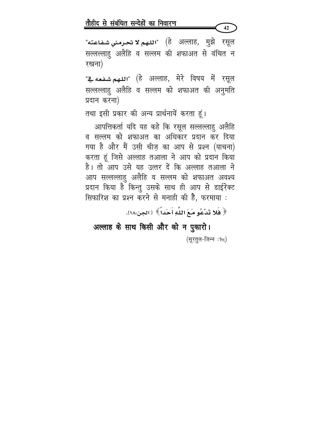"اللـهم لا تحـرمـن*ي شـف*اعته" (हे अल्लाह, मुझे रसूल सल्लल्लाहु अलैहि व सल्लम की शफाअत से वंचित न रखना)

42

<u>"اللهم شـفـعه يـ</u>ة" (हे अल्लाह, मेरे विषय में रसूल सल्लल्लाहु अलैहि व सल्लम को शफाअत की अनुमति प्रदान करना)

तथा इसी प्रकार की अन्य प्रार्थनायें करता हूं।

आपत्तिकर्ता यदि यह कहे कि रसूल सल्लल्लाहु अलैहि व सल्लम को शफाअत का अधिकार प्रदान कर दिया गया है और मैं उसी चीज़ का आप से प्रश्न (याचना) करता हूं जिसे अल्लाह तआला ने आप को प्रदान किया है। तो आप उसे यह उत्तर दें कि अल्लाह तआला ने आप सल्लल्लाहु अलैहि व सल्लम को शफाअत अवश्य प्रदान किया है किन्तु उसके साथ ही आप से डाईरेक्ट सिफारिश का प्रश्न करने से मनाही की है, फरमाया :

﴿ فَلَا تَدْعُو مَعَ اللَّهِ أَحَداً ﴾ [الجن:١٨].

अल्लाह के साथ किसी और को न पुकारो। (सूरतूल-जिन्न :१८)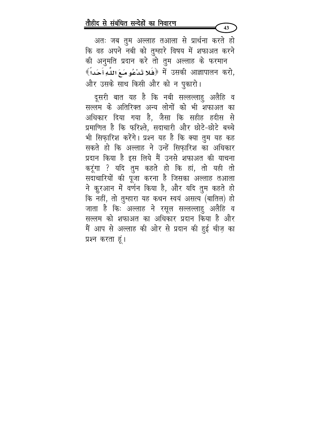अतः जब तुम अल्लाह तआला से प्रार्थना करते हो कि वह अपने नबी को तुम्हारे विषय में शफाअत करने की अनुमति प्रदान करे तो तुम अल्लाह के फरमान र्षे उसकी आज्ञापालन करो, ﴿فَلا تَدْعُو مَـعَ اللَّهِ أَحَداً ﴾ और उसके साथ किसी और को न पुकारो।

 $43<sup>°</sup>$ 

दूसरी बात यह है कि नबी सल्लल्लाहु अलैहि व सल्लम के अतिरिक्त अन्य लोगों को भी शफाअत का अधिकार दिया गया है, जैसा कि सहीह हदीस से प्रमाणित है कि फरिश्ते, सदाचारी और छोटे-छोटे बच्चे भी सिफ़ारिश करेंगे। प्रश्न यह है कि क्या तुम यह कह सकते हो कि अल्लाह ने उन्हें सिफारिश का अधिकार प्रदान किया है इस लिये मैं उनसे शफाअत की याचना करूंगा ? यदि तुम कहते हो कि हां, तो यही तो सदाचारियों की पूजा करना है जिसका अल्लाह तआला ने कुरआन में वर्णन किया है, और यदि तुम कहते हो कि नहीं, तो तुम्हारा यह कथन स्वयं असत्य (बातिल) हो जाता है कि: अल्लाह ने रसूल सल्लल्लाहु अलैहि व सल्लम को शफाअत का अधिकार प्रदान किया है और मैं आप से अल्लाह की ओर से प्रदान की हुई चीज़ का प्रश्न करता हूं।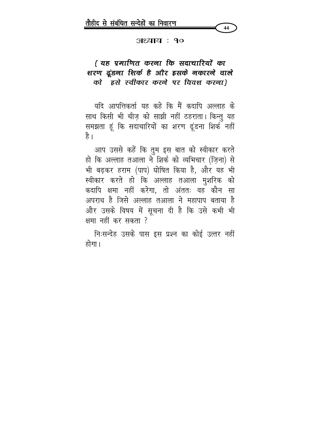#### अध्याय : १०

## ियह प्रमाणित करना कि सदाचारियों का शरण दूंडना शिर्क है और इसके नकारने वाले को इसे स्वीकार करने पर विवश करना)

यदि आपत्तिकर्ता यह कहे कि मैं कदापि अल्लाह के साथ किसी भी चीज़ को साझी नहीं ठहराता। किन्तु यह समझता हूं कि सदाचारियों का शरण ढूंडना शिर्क नहीं है ।

आप उससे कहें कि तुम इस बात को स्वीकार करते हो कि अल्लाह तआ़ला ने शिर्क को व्यभिचार (ज़िना) से भी बढ़कर हराम (पाप) घोषित किया है, और यह भी स्वीकार करते हो कि अल्लाह तआला मुशरिक को कदापि क्षमा नहीं करेगा, तो अंततः वह कौन सा अपराध है जिसे अल्लाह तआला ने महापाप बताया है और उसके विषय में सूचना दी है कि उसे कभी भी क्षमा नहीं कर सकता ?

निःसन्देह उसके पास इस प्रश्न का कोई उत्तर नहीं होगा।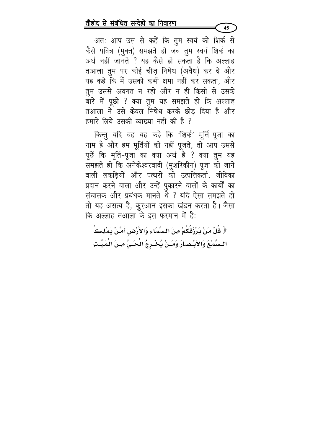अतः आप उस से कहें कि तुम स्वयं को शिर्क से कैसे पवित्र (मुक्त) समझते हो जब तुम स्वयं शिर्क का अर्थ नहीं जानते ? यह कैसे हो सकता है कि अल्लाह तआला तुम पर कोई चीज़ निषेध (अवैध) कर दे और यह कहे कि मैं उसको कभी क्षमा नहीं कर सकता, और तुम उससे अवगत न रहो और न ही किसी से उसके बारे में पूछो ? क्या तुम यह समझते हो कि अल्लाह तआला ने उसे केवल निषेध करके छोड दिया है और हमारे लिये उसकी व्याख्या नहीं की है ?

किन्तु यदि वह यह कहे कि 'शिर्क' मूर्ति-पूजा का नाम है और हम मूर्तियों को नहीं पूजते, तो आप उससे पूछें कि मूर्ति-पूजा का क्या अर्थ है ? क्या तुम यह समझते हो कि अनेकेश्वरवादी (मुशरिकीन) पूजा की जाने वाली लकडियों और पत्थरों को उत्पत्तिकर्ता, जीविका प्रदान करने वाला और उन्हें पुकारने वालों के कार्यों का संचालक और प्रबंधक मानते थे ? यदि ऐसा समझते हो तो यह असत्य है, कूरआन इसका खंडन करता है। जैसा कि अल्लाह तआ़ला के इस फरमान में है:

﴿ قُلْ مَنْ يَرْزُقُكُمْ مِنَ السَّمَاءِ وَالأَرْضِ أَمَّنْ يَمْلِكُ<br>السَّمْعَ وَالأَبْصَارَ وَمَـنْ يُخْـرِجُ الْحَـيَّ مِـنَ الْمَيِّـتِ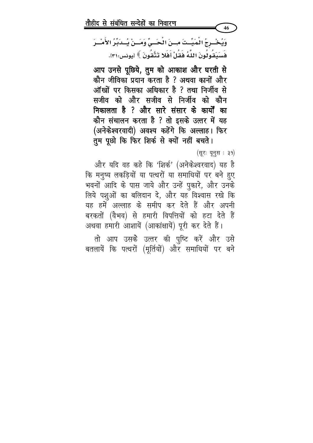तो आप उसकेे उत्तर की पुष्टि करें और उसे बतलायें कि पत्थरों (मूर्तियों) और समाधियों पर बने

(सूरः यूनुस : ३१) और यदि वह कहे कि 'शिर्क' (अनेकेश्वरवाद) यह है कि मनुष्य लकड़ियों या पत्थरों या समाधियों पर बने हुए भवनों आदि के पास जाये और उन्हें पुकारे, और उनके लिये पशुओं का बलिदान दे, और यह विश्वास रखे कि यह हमें अल्लाह के समीप कर देते हैं और अपनी बरकतों (वैभव) से हमारी विपत्तियों को हटा देते हैं अथवा हमारी आशायें (आकांक्षायें) पूरी कर देते हैं।

आप उनसे पूछिये, तुम को आकाश और घरती से कौन जीविका प्रदान करता है ? अथवा कानों और ऑंखों पर किसका अधिकार है ? तथा निर्जीव से सजीव को और सजीव से निर्जीव को कौन निकालता है ? और सारे संसार के कार्यों का कौन संचालन करता है ? तो इसके उत्तर में यह (अनेकेश्वरवादी) अवश्य कहेंगे कि अल्लाह। फिर तुम पूछो कि फिर शिर्क से क्यों नहीं बचते।

وَيُخْسِرِجُ الْمَيِّـتَ مِــنَ الْحَــيِّ وَمَــنْ يُــدَبِّرُ الأَمْــرَ فَسَنَدَّهُ لَونَ اللَّهُ فَقَلْ أَفَلا تَتَّقُونَ ﴾ [يونس:٣١].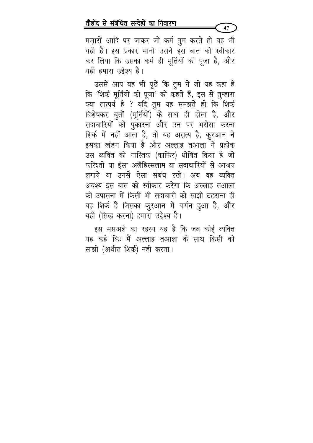मज़ारों आदि पर जाकर जो कर्म तुम करते हो वह भी यही है। इस प्रकार मानो उसने इस बात को स्वीकार कर लिया कि उसका कर्म ही मूर्तियों की पूजा है, और यही हमारा उद्देश्य है।

उससे आप यह भी पूछें कि तुम ने जो यह कहा है कि 'शिर्क मूर्तियों की पूजा' को कहते हैं, इस से तुम्हारा क्या तात्पर्य है ? यदि तुम यह समझते हो कि शिर्क विशेषकर बुतों (मूर्तियों) के साथ ही होता है, और सदाचारियों को पुकारना और उन पर भरोसा करना शिर्क में नहीं आता है, तो यह असत्य है, क़ूरआन ने इसका खंडन किया है और अल्लाह तआला ने प्रत्येक उस व्यक्ति को नास्तिक (काफिर) धोषित किया है जो फरिश्तों या ईसा अलैहिस्सलाम या सदाचारियों से आश्रय लगाये या उनसे ऐसा संबंध रखे। अब वह व्यक्ति अवश्य इस बात को स्वीकार करेगा कि अल्लाह तआला की उपासना में किसी भी सदाचारी को साझी ठहराना ही वह शिर्क है जिसका क़ुरआन में वर्णन हुआ है, और यही (सिद्ध करना) हमारा उद्देश्य है।

इस मसअले का रहस्य यह है कि जब कोई व्यक्ति यह कहे कि: मैं अल्लाह तआला के साथ किसी को साझी (अर्थात शिर्क) नहीं करता।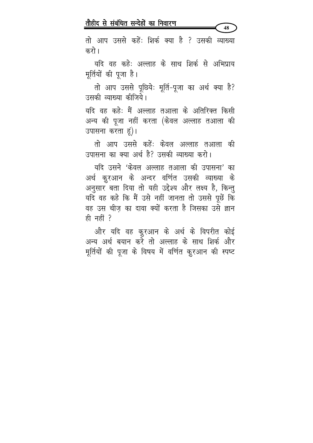48

तो आप उससे कहें: शिर्क क्या है ? उसकी व्याख्या करो ।

यदि वह कहेः अल्लाह के साथ शिर्क से अभिप्राय मूर्तियों की पूजा है।

तो आप उससे पूछियेः मूर्ति-पूजा का अर्थ क्या है? उसकी व्याख्या कीजिये।

यदि वह कहेः मैं अल्लाह तआला के अतिरिक्त किसी अन्य की पूजा नहीं करता (केवल अल्लाह तआला की उपासना करता हूं)।

तो आप उससे कहें: केवल अल्लाह तआला की उपासना का क्या अर्थ है? उसकी व्याख्या करो।

यदि उसने 'केवल अल्लाह तआला की उपासना' का अर्थ कुरआन के अन्दर वर्णित उसकी व्याख्या के अनुसार बता दिया तो यही उद्देश्य और लक्ष्य है, किन्तु यदि वह कहे कि मैं उसे नहीं जानता तो उससे पूछें कि वह उस चीज़ का दावा क्यों करता है जिसका उसे ज्ञान ही नहीं ?

और यदि वह कुरआन के अर्थ के विपरीत कोई अन्य अर्थ बयान करे तो अल्लाह के साथ शिर्क और मूर्तियों की पूजा के विषय में वर्णित कुरआन की स्पष्ट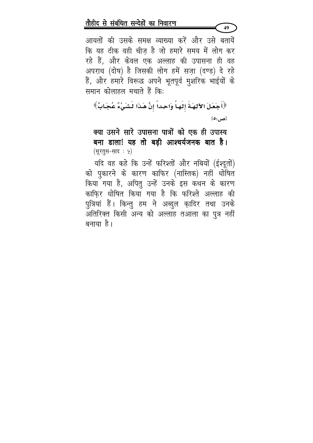आयतों की उसके समक्ष व्याख्या करें और उसे बतायें कि यह ठीक वही चीज़ है जो हमारे समय में लोग कर रहे हैं, और केवल एक अल्लाह की उपासना ही वह अपराध (दोष) है जिसकी लोग हमें सज़ा (दण्ड) दे रहे हैं, और हमारे विरूद्ध अपने भूतपूर्व मुशरिक भाईयों के समान कोलाहल मचाते हैं कि:

49

﴿أَجَعَلَ الآلِهَـةَ إِلَهَـاً وَاحِداً إِنَّ هَـٰذَا لَشَيْءٌ عُجَـابٌ﴾  $[0, \infty]$ 

## क्या उसने सारे उपासना पात्रों को एक ही उपास्य बना डाला! यह तो बड़ी आश्चर्यजनक बात है। (सूरतुस-साद : ५)

यदि वह कहे कि उन्हें फरिश्तों और नबियों (ईश्दूतों) को पुकारने के कारण काफिर (नास्तिक) नहीं धोषित किया गया है, अपितु उन्हें उनके इस कथन के कारण काफि़र धोषित किया गया है कि फरिश्ते अल्लाह की पुत्रियां हैं। किन्तु हम ने अब्दुल क़ादिर तथा उनके अतिरिक्त किसी अन्य को अल्लाह तआला का पुत्र नहीं बनाया है।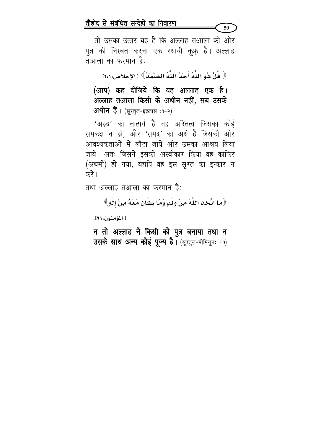तो उसका उत्तर यह है कि अल्लाह तआला की ओर पुत्र की निस्बत करना एक स्थायी कुफ़् है। अल्लाह तआला का फरमान है:

50

﴿ قُلْ هُوَ اللَّهُ أَحَدٌ اللَّهُ الصَّمَدُ》[الإخلاص:٢،١]

(आप) कह दीजिये कि वह अल्लाह एक है। अल्लाह तआला किसी के अधीन नहीं, सब उसके अधीन हैं। (सूरतुल-इख्लास :१-२)

'अहद' का तात्पर्य है वह अस्तित्व जिसका कोई समकक्ष न हो, और 'समद' का अर्थ है जिसकी ओर आवश्यकताओं में लौटा जाये और उसका आश्रय लिया जाये। अतः जिसने इसको अस्वीकार किया वह काफिर (अधर्मी) हो गया, यद्यपि वह इस सूरत का इन्कार न करे ।

तथा अल्लाह तआला का फरमान है:

﴿مَا اتَّخَذَ اللَّهُ مِنْ وَلَدٍ وَمَا كَانَ مَعَهُ مِنْ إِلَهٍ﴾

[ المؤمنون:١٩١.

न तो अल्लाह ने किसी को पुत्र बनाया तथा न उसके साथ अन्य कोई पूज्य है। (सूरतुल-मोमिनूनः ६१)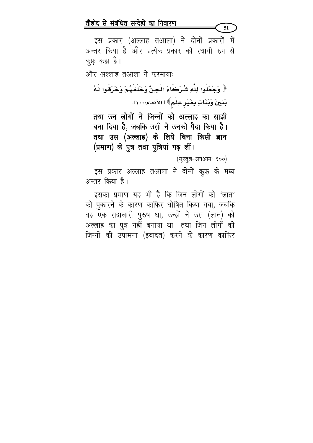इस प्रकार (अल्लाह तआला) ने दोनों प्रकारों में अन्तर किया है और प्रत्येक प्रकार को स्थायी रुप से कूफ़ कहा है।

और अल्लाह तआला ने फरमाया:

﴿ وَجَعَلُوا لِلَّهِ شُرَكَاءَ الْجِنَّ وَخَلَقَهُمْ وَخَرَقُوا لَـهُ بَنِينَ وَبَنَاتٍ بِغَيْرِ عِلْمٍ﴾ [ الأنعام:١١٠٠].

तथा उन लोगों ने जिन्नों को अल्लाह का साझी बना दिया है, जबकि उसी ने उनको पैदा किया है। तथा उस (अल्लाह) के लिये बिना किसी ज्ञान (प्रमाण) के पुत्र तथा पुत्रियां गढ़ लीं।

(सूरतूल-अनआमः १००)

51

इस प्रकार अल्लाह तआला ने दोनों कु़फ़ के मध्य अन्तर किया है।

इसका प्रमाण यह भी है कि जिन लोगों को 'लात' को पुकारने के कारण काफिर धोषित किया गया, जबकि वह एक सदाचारी पुरुष था, उन्हों ने उस (लात) को अल्लाह का पुत्र नहीं बनाया था। तथा जिन लोगों को जिन्नों की उपासना (इबादत) करने के कारण काफिर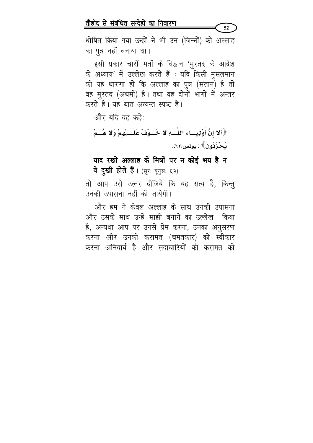धोषित किया गया उन्हों ने भी उन (जिन्नों) को अल्लाह का पुत्र नहीं बनाया था।

 $52$ 

इसी प्रकार चारों मतों के विद्वान 'मुरतद के आदेश के अध्याय' में उल्लेख करते हैं : यदि किसी मुसलमान की यह धारणा हो कि अल्लाह का पुत्र (संतान) है तो वह मुरतद (अधर्मी) है। तथा वह दोनों भागों में अन्तर करते हैं। यह बात अत्यन्त स्पष्ट है।

और यदि वह कहे:

﴿أَلَا إِنَّ أَوْلِيَــاءَ اللَّــهِ لَا خَــوْفٌ عَلَــيْهِمْ وَلَا هُــمْ ىَحْزَبُّونَ﴾ [ يونس:٢٢].

याद रखो अल्लाह के मित्रों पर न कोई भय है न वे दुखी होते हैं। (सूरः यूनुसः ६२)

तो आप उसे उत्तर दीजिये कि यह सत्य है, किन्तु उनकी उपासना नहीं की जायेगी।

और हम ने केवल अल्लाह के साथ उनकी उपासना और उसके साथ उन्हें साझी बनाने का उल्लेख किया है, अन्यथा आप पर उनसे प्रेम करना, उनका अनुसरण करना और उनकी करामत (चमतकार) को स्वीकार करना अनिवार्य है और सदाचारियों की करामत को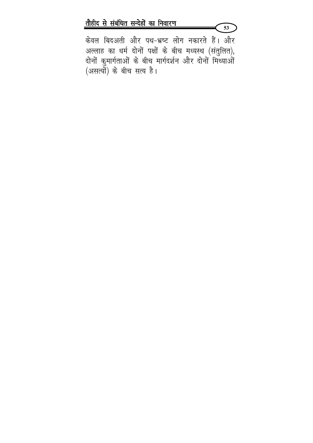केवल बिदअती और पथ-भ्रष्ट लोग नकारते हैं। और अल्लाह का धर्म दोनों पक्षों के बीच मध्यस्थ (संतुलित), दोनों कुमार्गताओं के बीच मार्गदर्शन और दोनों मिथ्याओं (असत्यों) के बीच सत्य है।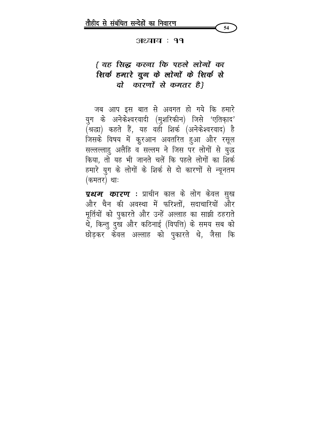

#### अध्याय : ११

# { यह सिद्ध करना कि पहले लोगों का शिर्क हमारे यूग के लोगों के शिर्क से दो कारणों से कमतर है।

जब आप इस बात से अवगत हो गये कि हमारे युग के अनेकेश्वरवादी (मुशरिकीन) जिसे 'एतिकाद' (श्रद्धा) कहते हैं, यह वही शिर्क (अनेकेश्वरवाद) है जिसके विषय में कुरआन अवतरित हुआ और रसूल सल्लल्लाहु अलैहि व सल्लम ने जिस पर लोगों से युद्ध किया, तो यह भी जानते चलें कि पहले लोगों का शिर्क हमारे युग के लोगों के शिर्क से दो कारणों से न्यूनतम (कमतर) थाः

*प्रथम कारण* : प्राचीन काल के लोग केवल सुख और चैन की अवस्था में फरिश्तों, सदाचारियों और मूर्तियों को पुकारते और उन्हें अल्लाह का साझी ठहराते थे, किन्तु दुख और कठिनाई (विपत्ति) के समय सब को छोड़कर केवल अल्लाह को पुकारते थे, जैसा कि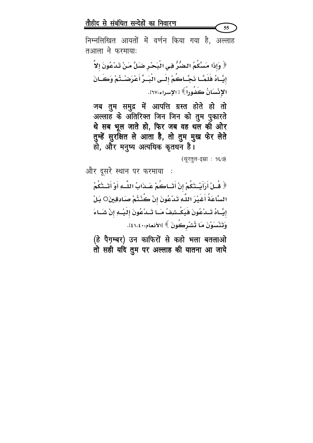निम्नलिखित आयतों में वर्णन किया गया है, अल्लाह तआला ने फरमायाः

﴿ وَإِذَا مَسَّكُمُ الْضُّرُّ فِي الْبَحْرِ ضَلَّ مَنْ تَدْعُونَ إِلاَّ إِيَّـاهُ فَلَمَّـا نَجَّـاكُمْ إِلَـى الْبَـرِّ أَعْرَضْـتُمْ وَكَـانَ الإِنْسَانُ كَفُوراً ﴾ [ الإسراء:٦٧].

जब तुम समुद्र में आपत्ति ग्रस्त होते हो तो अल्लाह के अंतिरिक्त जिन जिन को तुम पुकारते थे सब भूल जाते हो, फिर जब वह थल को ओर तुम्हें सुरक्षित ले आता है, तो तुम मुख फेर लेते<br>हो, और मनुष्य अत्यधिक कृतधन है।

(सुरतूल-इस्रा: १६७)

 $55<sub>1</sub>$ 

और दूसरे स्थान पर फरमाया ﴿ قُـلْ أَرَأَيْــتَكُمْ إِنْ أَتَــاكُمْ عَــذَابُ اللَّــهِ أَوْ أَتَــتْكُمُ

السَّاعَةُ أَغَيْرَ اللَّهِ تَدْعُونَ إنْ كُنْتُمْ صَادِقِينَ○ بَلْ إِيَّـاهُ تَــدْعُونَ هَٰيَكْــشِفُ مَــَا تَــدْعُونَ إِلَيْــهِ إِنْ شَــَاءَ وَتَنْسَوْنَ مَا تُشْرِكُونَ ﴾ [الأنعام:١٤١،٤٠].

(हे पैग़म्बर) उन काफिरों से कहो भला बतलाओ तो सही यदि तुम पर अल्लाह की यातना आ जाये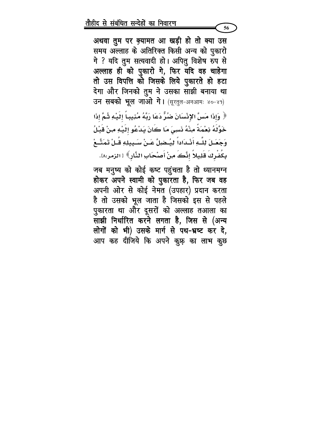अथवा तुम पर क़्यामत आ खड़ी हो तो क्या उस समय अल्लाह के अतिरिक्त किसी अन्य को पुकारो गे ? यदि तुम सत्यवादी हो। अपितु विशेष रुप से अल्लाह ही को पुकारो गे, फिर यदि वह चाहेगा तो उस विपत्ति को जिसके लिये पुकारते हो हटा देगा और जिनको तुम ने उसका साझी बनाया था उन सबको भूल जाओ गे। (सूरतुल-अनआमः ४०-४१) ﴿ وَإِذَا مَسَّ الإِنْسَانَ ضَرٌّ دَعَا رَبَّهُ مُنِيباً إِلَيْهِ ثُمَّ إِذَا خَوَّلَهُ نِعْمَةً مِنْهُ نَسِيَ مَا كَانَ يَدْعُو إِلَيْهِ مِنْ قَبْلُ وَجَعَـلَ لِلـَّـهِ أَنْـدَاداً لِيـُـضِلَّ عَـنْ سَـبِيلِهِ قُـلْ تَمَتَّـعْ بِكَفْرِكَ قَلِيلاً إنَّكَ مِنْ أَصْحَابِ النَّارِ﴾ [الزمر:١٨.

जब मनुष्य को कोई कष्ट पहुंचता है तो ध्यानमग्न होकर अपने स्वामी को पुकारता है, फिर जब वह अपनी ओर से कोई नेमत (उपहार) प्रदान करता है तो उसको भूल जाता है जिसको इस से पहले पुकारता था और दूसरों को अल्लाह तआला का साझी निर्धारित करने लगता है, जिस से (अन्य लोगों को भी) उसके मार्ग से पथ-भ्रष्ट कर दे, आप कह दीजिये कि अपने कु़फ़ का लाभ कु़छ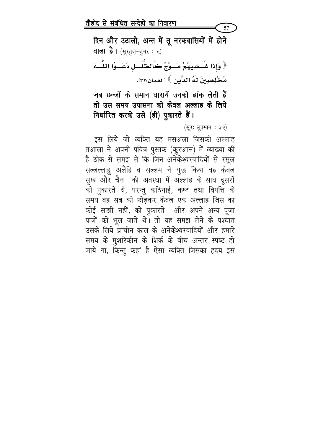दिन और उठालो, अन्त में तू नरकवासियों में होने **वाला है।** (सूरत़ूज़-ज़ुमर ः ८) ﴿ وَإِذَا غَـشِيَهُمْ مَــوْجٌ كَالظُّلَــلِ دَعَــوُا اللَّــهَ مُخْلِصِينَ لَهُ الدِّينِ ﴾ [ لقمان:٢٢].

जब छज्जों के समान धारायें उनको ढांक लेती हैं तो उस समय उपासना को केवल अल्लाह के लिये निर्धारित करके उसे (ही) पुकारते हैं।

(सूरः लुकुमान : ३२)

57

इस लिये जो व्यक्ति यह मसअला जिसकी अल्लाह तआला ने अपनी पवित्र पुस्तक (कुरआन) में व्याख्या की है ठीक से समझ ले कि जिन अनेकेश्वरवादियों से रसूल सल्लल्लाहु अलैहि व सल्लम ने युद्ध किया वह केवल सुख और चैन की अवस्था में अल्लाह के साथ दूसरों को पुकारते थे, परन्तु कठिनाई, कष्ट तथा विपत्ति के समय वह सब को छोडकर केवल एक अल्लाह जिस का कोई साझी नहीं, को पुकारते और अपने अन्य पूजा पात्रों को भूल जाते थे। तो यह समझ लेने के पश्चात उसके लिये प्राचीन काल के अनेकेश्वरवादियों और हमारे समय के मुशरिकीन के शिर्क के बीच अन्तर स्पष्ट हो जाये गा, किन्तु कहां है ऐसा व्यक्ति जिसका हृदय इस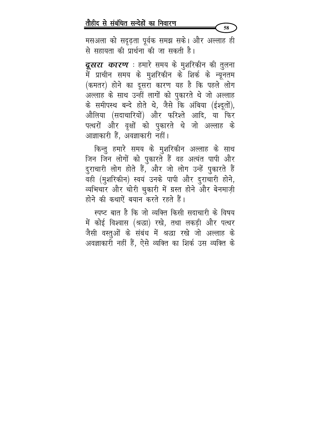मसअला को सदृढ़ता पूर्वक समझ सके। और अल्लाह ही से सहायता की प्रार्थना की जा सकती है।

58

**दूसरा** *कारण* **:** हमारे समय के मुशरिकीन की तुलना में प्राचीन समय के मुशरिकीन के शिर्क के न्यूनतम (कमतर) होने का दूसरा कारण यह है कि पहले लोग अल्लाह के साथ उन्हीं लागों को पुकारते थे जो अल्लाह के समीपस्थ बन्दे होते थे, जैसे कि अंबिया (ईश्दूतों), औलिया (सदाचारियों) और फरिश्ते आदि, या फिर पत्थरों और वृक्षों को पुकारते थे जो अल्लाह के आज्ञाकारी हैं, अवज्ञाकारी नहीं।

किन्तु हमारे समय के मुशरिकीन अल्लाह के साथ जिन जिन लोगों को पुकारते हैं वह अत्यंत पापी और दुराचारी लोग होते हैं, और जो लोग उन्हें पुकारते हैं वही (मुशरिकीन) स्वयं उनके पापी और दुराचारी होने, व्यभिचार और चोरी चुकारी में ग्रस्त होने और बेनमाज़ी होने की कथाऐं बयान करते रहते हैं।

स्पष्ट बात है कि जो व्यक्ति किसी सदाचारी के विषय में कोई विश्वास (श्रद्धा) रखे, तथा लकड़ी और पत्थर जैसी वस्तुओं के संबंध में श्रद्धा रखे जो अल्लाह के अवज्ञाकारी नहीं हैं, ऐसे व्यक्ति का शिर्क उस व्यक्ति के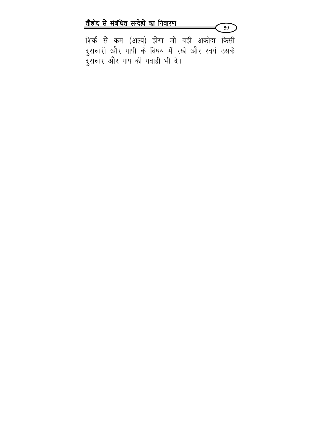शिर्क से कम (अल्प) होगा जो वही अकीदा किसी दुराचारी और पापी के विषय में रखे और स्वयं उसके दुराचार और पाप की गवाही भी दे।

 $59<sup>7</sup>$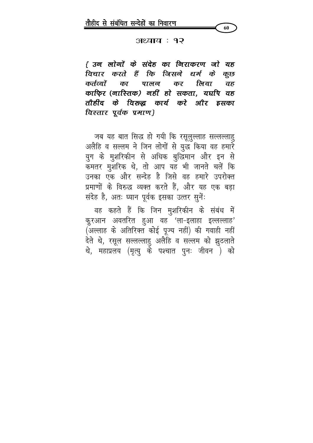

अध्याय : १२

{ उन लोगों के संदेह का निराकरण जो यह विचार करते हैं कि जिसने धर्म के कूछ कर्तव्यों का पालन कर लिया  $\overline{d}\overline{b}$ काफिर (नास्तिक) नहीं हो सकता, यद्यपि वह तौहीद के विरुद्ध कार्य करे और इसका विस्तार पूर्वक प्रमाण}

जब यह बात सिद्ध हो गयी कि रसूलुल्लाह सल्लल्लाहु अलैहि व सल्लम ने जिन लोगों से युद्ध किया वह हमारे युग के मुशरिकीन से अधिक बुद्धिमान और इन से कमतर मुशरिक थे, तो आप यह भी जानते चलें कि उनका एक और सन्देह है जिसे वह हमारे उपरोक्त प्रमाणों के विरुद्ध व्यक्त करते हैं, और यह एक बड़ा संदेह है, अतः घ्यान पूर्वक इसका उत्तर सुनें:

वह कहते हैं कि जिन मुशरिकीन के संबंध में कुरआन अवतरित हुआ वह 'ला-इलाहा इल्लल्लाह' (अल्लाह के अतिरिक्त कोई पूज्य नहीं) की गवाही नहीं देते थे, रसूल सल्लल्लाहु अलैहि व सल्लम को झुठलाते थे, महाप्रलय (मृत्यु के पश्चात पुनः जीवन ) को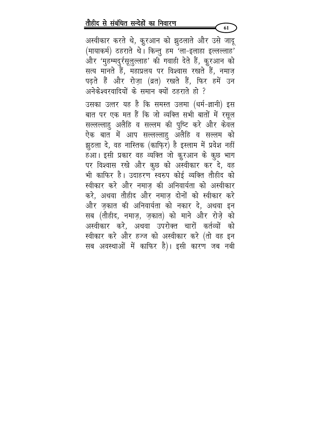अस्वीकार करते थे, कुरआन को झुठलाते और उसे जादू (मायाकर्म) ठहराते थे। किन्तु हम 'ला-इलाहा इल्लल्लाह' और 'मुहम्मदुर्रसूलुल्लाह' की गवाही देते हैं, कुरआन को सत्य मानते हैं, महाप्रलय पर विश्वास रखते हैं, नमाज़ पढ़ते हैं और रोज़ा (व्रत) रखते हैं, फिर हमें उन अनेकेश्वरवादियों के समान क्यों ठहराते हो ?

उसका उत्तर यह है कि समस्त उलमा (धर्म-ज्ञानी) इस बात पर एक मत हैं कि जो व्यक्ति सभी बातों में रसूल सल्लल्लाहु अलैहि व सल्लम की पुष्टि करे और केवल ऐक बात में आप सल्लल्लाहु अलैहि व सल्लम को झुठला दे, वह नास्तिक (काफि़र) है इस्लाम में प्रवेश नहीं हआ। इसी प्रकार वह व्यक्ति जो कुरआन के कुछ भाग पर विश्वास रखे और कुछ को अस्वीकार कर दे, वह भी काफिर है। उदाहरण स्वरुप कोई व्यक्ति तौहीद को स्वीकार करे और नमाज़ की अनिवार्यता को अस्वीकार करे, अथवा तौहीद और नमाज़ दोनों को स्वीकार करे और जकात की अनिवार्यता को नकार दे. अथवा इन सब (तौहीद, नमाज़, ज़कात) को माने और रोज़े को अस्वीकार करे, अथवा उपरोक्त चारों कर्तव्यों को स्वीकार करे और हज्ज को अस्वीकार करे (तो वह इन सब अवस्थाओं में काफिर है)। इसी कारण जब नबी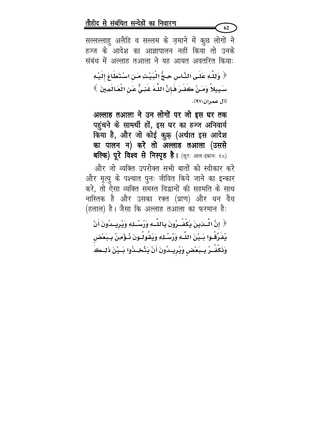सल्लल्लाहु अलैहि व सल्लम के ज़माने में कूछ लोगों ने हज्ज के आदेश का आज्ञापालन नहीं किया तो उनके संबंध में अल्लाह तआ़ला ने यह आयत अवतरित कियाः

62

﴿ وَلِلَّهِ عَلَى النَّاسِ حِجُّ الْبَيْتِ مَنِ اسْتَطَاعَ إِلَيْهِ سَبِيلاً وَمَنْ كَفَرَ فَإِنَّ اللَّهَ غَنِيٌّ عَنِ الْعَالَمِينَ ﴾ [آل عمران:٩٧].

अल्लाह तआला ने उन लोगों पर जो इस घर तक पहुंचने के सामर्थी हों, इस घर का हज्ज अनिवार्य किया है, और जो कोई कुफ़ (अर्थात इस आदेश का पालन न) करे तो अल्लाह तआला (उससे बल्कि) पूरे विश्व से निस्पृह है। (सूरः आल-इम्रानः ६८)

और जो व्यक्ति उपरोक्त सभी बातों को स्वीकार करे और मृत्यु के पश्चात पुनः जीवित किये जाने का इन्कार करे, तो ऐसा व्यक्ति समस्त विद्वानों की सहमति के साथ नास्तिक है और उसका रक्त (प्राण) और धन वैध (हलाल) है। जैसा कि अल्लाह तआ़ला का फरमान है:

﴿ إِنَّ الْسَنِينَ يَكْفُـرُونَ بِاللَّـهِ وَرُسُـلِهِ وَيُرِيــدُونَ أَنْ يُضَرِّقُوا بَـيْنَ اللَّـهِ وَزُسُـلِهِ وَيَقُولُـونَ ذُوّْمِنُ بِـبَعْضٍ وَذَكْشُرُ بِسِبَعْضٍ وَيُرِيسُونَ أَنْ يَتَّخِسُوا بَسِيْنَ ذَلِــكَ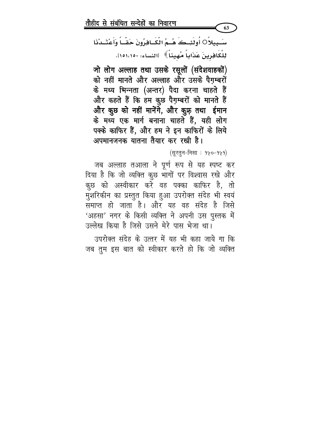उपरोक्त संदेह के उत्तर में यह भी कहा जाये गा कि जब तुम इस बात को स्वीकार करते हो कि जो व्यक्ति

जब अल्लाह तआ़ला ने पूर्ण रूप से यह स्पष्ट कर दिया है कि जो व्यक्ति कुछ भागों पर विश्वास रखे और कुछ को अस्वीकार करें वह पक्का काफिर है, तो मुशरिकीन का प्रस्तुत किया हुआ उपरोक्त संदेह भी स्वयं समाप्त हो जाता है। और यह वह संदेह है जिसे 'अहसा' नगर के किसी व्यक्ति ने अपनी उस पुस्तक में उल्लेख किया है जिसे उसने मेरे पास भेजा था।

(सूरतून-निसा : १५०-१५१)

जो लोग अल्लाह तथा उसके रसूलों (संदेशवाहकों) को नहीं मानते और अल्लाह और उसके पैगम्बरों के मध्य भिन्नता (अन्तर) पैदा करना चाहते हैं और कहते हैं कि हम कुछ पैग़म्बरों को मानते हैं और कुछ को नहीं मानेंगे, और कुफ़् तथा ईमान के मध्य एक मार्ग बनाना चाहते हैं, यही लोग पक्के काफिर हैं, और हम ने इन काफिरों के लिये अपमानजनक यातना तैयार कर रखी है।

سَبِيلاً 0 أُولَئِـڪَ هُــمُ الْكَــافِرُونَ حَقّــاً وَأَعْتَــدْنَا لِلْكَافِرِينَ عَذَاباً مُهيناً》 [النساء: ١٥١،١٥٠].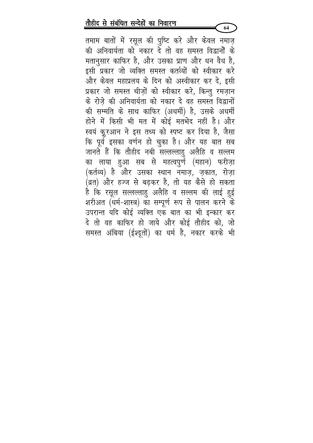तमाम बातों में रसूल की पुष्टि करे और केवल नमाज़ की अनिवार्यता को नकार दे तो वह समस्त विद्वानों के मतानुसार काफिर है, और उसका प्राण और धन वैध है, इसी प्रकार जो व्यक्ति समस्त कर्तव्यों को स्वीकार करे और केवल महाप्रलय के दिन को अस्वीकार कर दे, इसी प्रकार जो समस्त चीज़ों को स्वीकार करे, किन्तु रमज़ान के रोजे की अनिवार्यता को नकार दे वह समस्त विद्वानों की सम्मति के साथ काफिर (अधर्मी) है, उसके अधर्मी होने में किसी भी मत में कोई मतभेद नहीं है। और स्वयं कुरआन ने इस तथ्य को स्पष्ट कर दिया है, जैसा कि पूर्व इसका वर्णन हो चुका है। और यह बात सब जानते हैं कि तौहीद नबी सल्लल्लाहु अलैहि व सल्लम का लाया हुआ सब से महत्वपुर्ण (महान) फरीज़ा (कर्तव्य) है और उसका स्थान नमाज़, ज़कात, रोज़ा (व्रत) और हज्ज से बढ़कर है, तो यह कैसे हो सकता है कि रसूल सल्लल्लाहु अलैहि व सल्लम की लाई हुई शरीअत (धर्म-शास्त्र) का सम्पूर्ण रूप से पालन करने के उपरान्त यदि कोई व्यक्ति एक बात का भी इन्कार कर दे तो वह काफिर हो जाये और कोई तौहीद को, जो समस्त अंबिया (ईश्दूतों) का धर्म है, नकार करके भी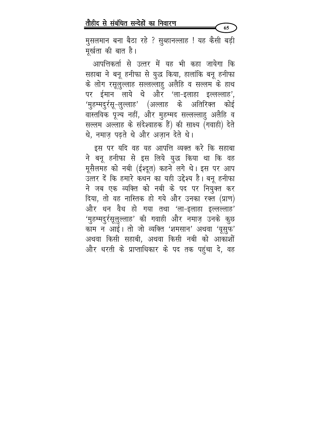मुसलमान बना बैठा रहे ? सुब्हानल्लाह ! यह कैसी बड़ी मूर्खता की बात है।

65

आपत्तिकर्ता से उत्तर में यह भी कहा जायेगा कि सहाबा ने बनू हनीफा से युद्ध किया, हालांकि बनू हनीफा के लोग रसूलुल्लाह सल्लल्लाहु अलैहि व सल्लम के हाथ पर ईमान लाये थे और 'ला-इलाहा इल्लल्लाह', 'मुहम्मदुर्रसू-लुल्लाह' (अल्लाह के अतिरिक्त कोई वास्तविक पूज्य नहीं, और मुहम्मद सल्लल्लाहु अलैहि व सल्लम अल्लाह के संदेश्वाहक हैं) की साक्ष्य (गवाही) देते थे, नमाज पढते थे और अजान देते थे।

इस पर यदि वह यह आपत्ति व्यक्त करे कि सहाबा ने बनू हनीफा से इस लिये युद्ध किया था कि वह मूसैलमह को नबी (ईश्दूत) कहने लगे थे। इस पर आप उत्तर दें कि हमारे कथन का यही उद्देश्य है। बनू हनीफा ने जब एक व्यक्ति को नबी के पद पर नियुक्त कर दिया, तो वह नास्तिक हो गये और उनका रक्त (प्राण) और धन वैध हो गया तथा 'ला-इलाहा इल्लल्लाह' 'मुहम्मदुर्रसूलुल्लाह' की गवाही और नमाज़ उनके कुछ काम न आई। तो जो व्यक्ति 'शमसान' अथवा 'यूसुफ' अथवा किसी सहाबी, अथवा किसी नबी को आकाशों और धरती के प्राप्ताधिकार के पद तक पहुंचा दे, वह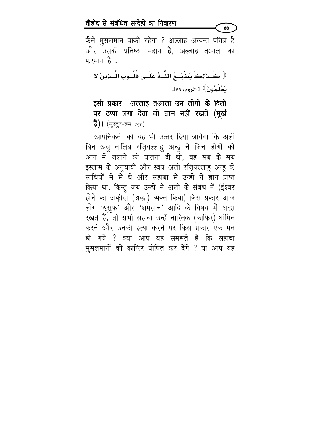कैसे मुसलमान बाकी रहेगा ? अल्लाह अत्यन्त पवित्र है और उसकी प्रतिष्ठा महान है, अल्लाह तआला का फरमान है:

66

﴿ كَـذَٰٓئِكَ يَطْبَــِعُ اللَّــهُ عَلَــى قُلُــوبِ النَّــزِينَ لا نَعْلَمُونَ﴾ [ الروم: ٥٩].

इसी प्रकार अल्लाह तआला उन लोगों के दिलों पर ठप्पा लगा देता जो ज्ञान नहीं रखते (मूर्ख  $\mathbf{\hat{g}}$ ) | (सूरतुर-रूम :५८)

आपत्तिकर्ता को यह भी उत्तर दिया जायेगा कि अली बिन अबु तालिब रज़ियल्लाहु अन्हु ने जिन लोगों को आग में जलाने की यातना दी थी, वह सब के सब इस्लाम के अनुयायी और स्वयं अली रज़ियल्लाहु अन्हु के साथियों में से थे और सहाबा से उन्हों ने ज्ञान प्राप्त किया था, किन्तु जब उन्हों ने अली के संबंध में (ईश्वर होने का अक़ीदा (श्रद्धा) व्यक्त किया) जिस प्रकार आज लोग 'यूसुफ' और 'शमसान' आदि के विषय में श्रद्धा रखते हैं, तो सभी सहाबा उन्हें नास्तिक (काफिर) घोषित करने और उनकी हत्या करने पर किस प्रकार एक मत हो गये ? क्या आप यह समझते हैं कि सहाबा मुसलमानों को काफिर घोषित कर देंगे ? या आप यह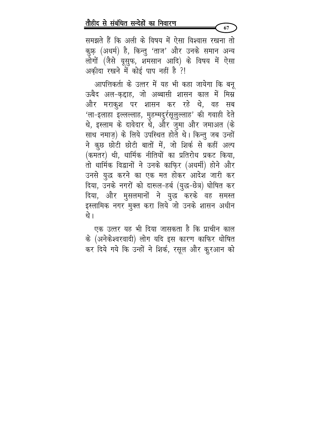समझते हैं कि अली के विषय में ऐसा विश्वास रखना तो कुफ़ (अधर्म) है, किन्तु 'ताज' और उनके समान अन्य लोगों (जैसे यूसुफ, शमसान आदि) के विषय में ऐसा अक़ीदा रखने में कोई पाप नहीं है ?!

आपत्तिकर्ता के उत्तर में यह भी कहा जायेगा कि बनू ऊबैद अल-कद्दाह, जो अब्बासी शासन काल में मिम्न और मराकुश पर शासन कर रहे थे, वह सब 'ला-इलाहा इल्लल्लाह, मुहम्मदुर्रसूलुल्लाह' की गवाही देते थे, इस्लाम के दावेदार थे, और ज़ुमा और जमाअत (के साथ नमाज़) के लिये उपस्थित होते थे। किन्तु जब उन्हों ने कूछ छोटी छोटी बातों में, जो शिर्क से कहीं अल्प (कमतर) थी, धार्मिक नीतियों का प्रतिरोध प्रकट किया, तो धार्मिक विद्वानों ने उनके काफ़िर (अधर्मी) होने और उनसे युद्ध करने का एक मत होकर आदेश जारी कर दिया, उनके नगरों को दारूल-हर्ब (युद्ध-छेत्र) घोषित कर दिया, और मुसलमानों ने युद्ध करके वह समस्त इस्लामिक नगर मुक्त करा लिये जो उनके शासन अधीन थे ।

एक उत्तर यह भी दिया जासकता है कि प्राचीन काल के (अनेकेश्वरवादी) लोग यदि इस कारण काफिर धोषित कर दिये गये कि उन्हों ने शिर्क, रसूल और कुरआन को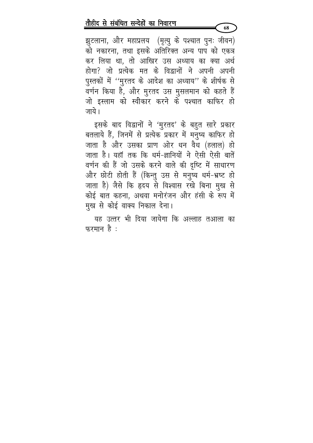झुटलाना, और महाप्रलय (मृत्यु के पश्चात पुनः जीवन) को नकारना, तथा इसके अतिरिक्त अन्य पाप को एकत्र कर लिया था, तो आखिर उस अध्याय का क्या अर्थ होगा? जो प्रत्येक मत के विद्वानों ने अपनी अपनी पुस्तकों में ''मुरतद के आदेश का अध्याय'' के शीर्षक से वर्णन किया है, और मुरतद उस मुसलमान को कहते हैं जो इस्लाम को स्वीकार करने के पश्चात काफिर हो जाये ।

68

इसके बाद विद्वानों ने 'मुरतद' के बहुत सारे प्रकार बतलाये हैं, जिनमें से प्रत्येक प्रकार में मनुष्य काफिर हो जाता है और उसका प्राण ओर धन वैध (हलाल) हो जाता है। यहाँ तक कि धर्म-ज्ञानियों ने ऐसी ऐसी बातें वर्णन की हैं जो उसके करने वाले की दृष्टि में साधारण और छोटी होती हैं (किन्तु उस से मनुष्य धर्म-भ्रष्ट हो जाता है) जैसे कि हृदय से विश्वास रखे बिना मुख से कोई बात कहना, अथवा मनोरंजन और हंसी के रूप में मुख से कोई वाक्य निकाल देना।

यह उत्तर भी दिया जायेगा कि अल्लाह तआला का फरमान है: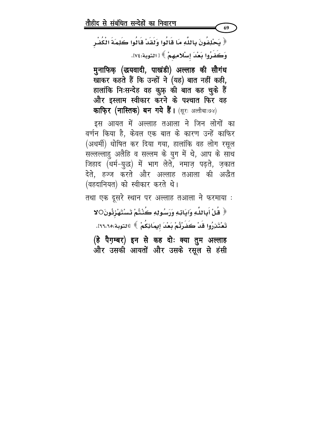﴿ يَحْلِفُونَ بِاللَّهِ مَا قَالُوا وَلَقَدْ قَالُوا كَلِمَةَ الْكُفْرِ وَكَفَرُوا بَعْدَ إسْلامِهِمْ ﴾ [ التوبة:٧٤.

69

मुनाफिक् (द्धयवादी, पाखंडी) अल्लाह की सौगंध खाकर कहते हैं कि उन्हों ने (यह) बात नहीं कही, हालांकि निःसन्देह वह कुफ़् की बात कह चुके हैं और इस्लाम स्वीकार करने के पश्चात फिर वह काफ़िर (नास्तिक) बन गये हैं। (सूरः अत्तौबाः७४)

इस आयत में अल्लाह तआला ने जिन लोगों का वर्णन किया है, केवल एक बात के कारण उन्हें काफिर (अधर्मी) धोषित कर दिया गया, हालांकि वह लोग रसूल सल्लल्लाहु अलैहि व सल्लम के युग में थे, आप के साथ जिहाद (धर्म-युद्ध) में भाग लेते, नमाज़ पढ़ते, ज़कात देते, हज्ज करते और अल्लाह तआला की अछैत (वहदानियत) को स्वीकार करते थे।

तथा एक दूसरे स्थान पर अल्लाह तआला ने फरमाया :

﴿ قُلْ أَبِاللَّهِ وَآيَاتِهِ وَرَسُولِهِ كُنْتُمْ تَسْتَهْزِئُونَOلا تَعْتَذِرُوا قَدْ كَفَرْتُمْ بَعْدَ إيمَاذِكُمْ ﴾ [التوبة:٢٦،٢٦]. (हे पैग़म्बर) इन से कह दोः क्या तुम अल्लाह

और उसकी आयतों और उसके रसूल से हंसी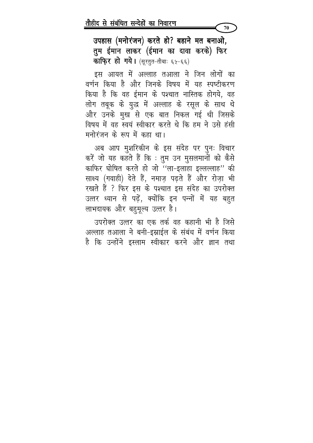उपहास (मनोरंजन) करते हो? बहाने मत बनाओ, तुम ईमान लाकर (ईमान का दावा करके) फिर **काफि़र हो गये।** (सूरतुत-तौबाः ६५-६६)

70

इस आयत में अल्लाह तआला ने जिन लोगों का वर्णन किया है और जिनके विषय में यह स्पष्टीकरण किया है कि वह ईमान के पश्चात नास्तिक होगये, वह लोग तबूक के युद्ध में अल्लाह के रसूल के साथ थे और उनके मुख से एक बात निकल गई थी जिसके विषय में वह स्वयं स्वीकार करते थे कि हम ने उसे हंसी मनोरंजन के रूप में कहा था।

अब आप मुशरिकीन के इस संदेह पर पुनः विचार करें जो यह कहते हैं कि : तुम उन मुसलमानों को कैसे काफिर घोषित करते हो जो "ला-इलाहा इल्लल्लाह" की साक्ष्य (गवाही) देते हैं, नमाज़ पढ़ते हैं और रोज़ा भी रखते हैं ? फिर इस के पश्चात इस संदेह का उपरोक्त उत्तर ध्यान से पढ़ें, क्योंकि इन पन्नों में यह बहुत लाभदायक और बहुमूल्य उत्तर है।

उपरोक्त उत्तर का एक तर्क वह कहानी भी है जिसे अल्लाह तआला ने बनी-इम्नाईल के संबंध में वर्णन किया है कि उन्होंने इस्लाम स्वीकार करने और ज्ञान तथा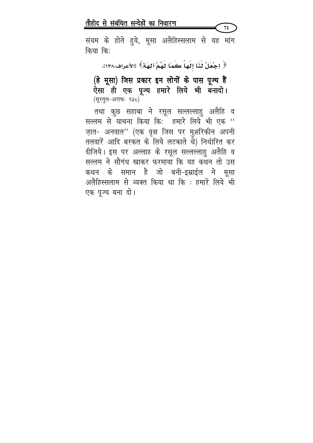संयम के होते हुये, मूसा अलैहिस्सलाम से यह मांग किया किः

71

﴿ اِجْعَلْ لَذَا إِلَهِاَّ كَمَا لَهُمْ آلِهَةٌ﴾ [الأعراف:١٣٨].

(हे मूसा) जिस प्रकार इन लोगों के पास पूज्य हैं ऐसा ही एक पूज्य हमारे लिये भी बनादो। (सूरतुल-अराफः १३८)

तथा कुछ सहाबा ने रसूल सल्लल्लाहु अलैहि व सल्लम से याचना किया कि: हमारे लिये भी एक " ज़ात- अनवात'' (एक वृक्ष जिस पर मुशरिकीन अपनी तलवारें आदि बरकत के लिये लटकाते थे) निर्धारित कर दीजिये। इस पर अल्लाह के रसूल सल्लल्लाहु अलैहि व सल्लम ने सौगंध खाकर फरमाया कि यह कथन तो उस कथन के समान है जो बनी-इस्राईल ने मूसा अलैहिस्सलाम से व्यक्त किया था कि : हमारे लिये भी एक पूज्य बना दो।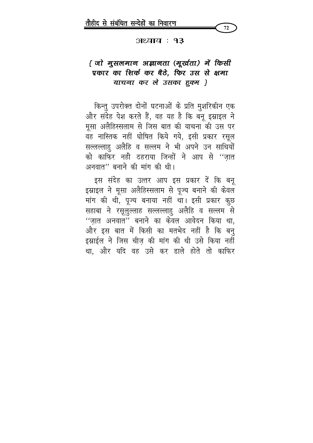

#### अध्याय : १३

## { जो मुसलमान अज्ञानता (मूर्खता) में किसी प्रकार का शिर्क कर बैठे, फिर उस से क्षमा याचना कर ले उसका हुक्म }

किन्तु उपरोक्त दोनों घटनाओं के प्रति मुशरिकीन एक और संदेह पेश करते हैं, वह यह है कि बनू इस्नाइल ने मूसा अलैहिस्सलाम से जिस बात की याचना की उस पर वह नास्तिक नहीं घोषित किये गये, इसी प्रकार रसूल सल्लल्लाहु अलैहि व सल्लम ने भी अपने उन साथियों को काफिर नही ठहराया जिन्हों ने आप से ''जात अनवात" बनाने की मांग की थी।

इस संदेह का उत्तर आप इस प्रकार दें कि बनू इम्राइल ने मूसा अलैहिस्सलाम से पूज्य बनाने की केवल मांग की थी, पूज्य बनाया नहीं था। इसी प्रकार कुछ सहाबा ने रसूलुल्लाह सल्लल्लाहु अलैहि व सल्लम से ''ज़ात अनवात'' बनाने का केवल आवेदन किया था, और इस बात में किसी का मतभेद नहीं है कि बनु इस्राईल ने जिस चीज़ की मांग की थी उसे किया नहीं था, और यदि वह उसे कर डाले होते तो काफिर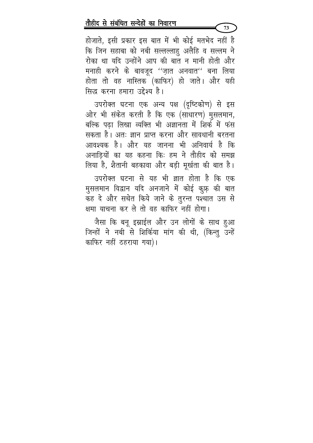होजाते, इसी प्रकार इस बात में भी कोई मतभेद नहीं है कि जिन सहाबा को नबी सल्लल्लाहु अलैहि व सल्लम ने रोका था यदि उन्होंने आप की बात न मानी होती और मनाही करने के बावजूद ''ज़ात अनवात'' बना लिया होता तो वह नास्तिक (काफिर) हो जाते। और यही सिद्ध करना हमारा उद्देश्य है।

73

उपरोक्त घटना एक अन्य पक्ष (दृष्टिकोण) से इस ओर भी संकेत करती है कि एक (साधारण) मुसलमान, बल्कि पढ़ा लिखा व्यक्ति भी अज्ञानता में शिर्क में फंस सकता है। अतः ज्ञान प्राप्त करना और सावधानी बरतना आवश्यक है। और यह जानना भी अनिवार्य है कि अनाडियों का यह कहना किः हम ने तौहीद को समझ लिया है, शैतानी बहकावा और बड़ी मूर्खता की बात है।

उपरोक्त घटना से यह भी ज्ञात होता है कि एक मुसलमान विद्वान यदि अनजाने में कोई कुफ़् की बात कह दे और सचेत किये जाने के तुरन्त पश्चात उस से क्षमा याचना कर ले तो वह काफिर नहीं होगा।

जैसा कि बनू इस्राईल और उन लोगों के साथ हुआ जिन्हों ने नबी से शिर्किया मांग की थी, (किन्तु उन्हें काफिर नहीं ठहराया गया)।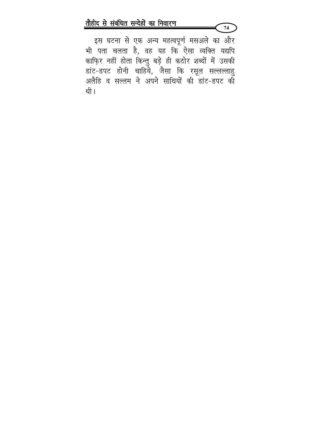इस घटना से एक अन्य महत्वपूर्ण मसअले का और भी पता चलता है, वह यह कि ऐसा व्यक्ति यद्यपि काफ़िर नहीं होता किन्तु बड़े ही कठोर शब्दों में उसकी डांट-डपट होनी चाहिये, जैसा कि रसूल सल्लल्लाहु अलैहि व सल्लम ने अपने साथियों की डांट-डपट की थी।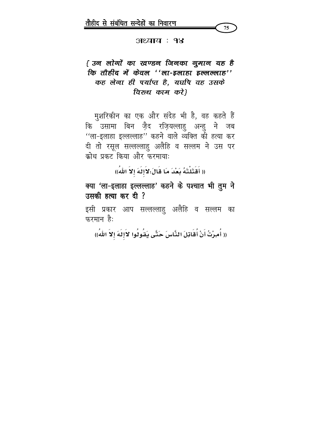

#### अध्याय : १४

# { उन लोगों का खण्डन जिनका गुमान यह है कि तौहीद में केवल ''ला-इलाहा इल्लल्लाह'' कह लेना ही पर्याप्त है, यद्यपि वह उसके विरुध काम करें।

मुशरिकीन का एक और संदेह भी है, वह कहते हैं कि उसामा बिन ज़ैद रज़ियल्लाहु अन्हु ने जब ''ला-इलाहा इल्लल्लाह'' कहने वाले व्यक्ति की हत्या कर दी तो रसूल सल्लल्लाहु अलैहि व सल्लम ने उस पर क्रोध प्रकट किया और फरमाया:

(( أَقَتَلْتَهُ بَعْدَ مَا قَالَ:لاَإِلَهَ إِلاَّ اللّٰهُ))

क्या 'ला-इलाहा इल्लल्लाह' कहने के पश्चात भी तुम ने उसकी हत्या कर दी ?

इसी प्रकार आप सल्लल्लाहु अलैहि व सल्लम का फरमान है:

(( أُمِرْتُ أَنْ أُقَاتِلَ النَّاسَ حَتَّى يَقُولُوا لاَإِلَهَ إِلاَّ اللهُ))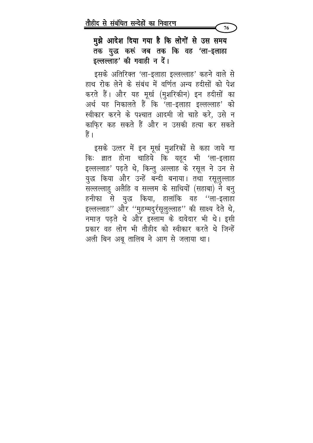मुझे आदेश दिया गया है कि लोगों से उस समय तक युद्ध करूं जब तक कि वह 'ला-इलाहा इल्लल्लाह' की गवाही न दें।

76

इसके अतिरिक्त 'ला-इलाहा इल्लल्लाह' कहने वाले से हाथ रोक लेने के संबंध में वर्णित अन्य हदीसों को पेश करते हैं। और यह मूर्ख (मुशरिकीन) इन हदीसों का अर्थ यह निकालते हैं कि 'ला-इलाहा इल्लल्लाह' को स्वीकार करने के पश्चात आदमी जो चाहे करे, उसे न काफिर कह सकते हैं और न उसकी हत्या कर सकते हैं ।

इसके उत्तर में इन मूर्ख मुशरिकों से कहा जाये गा किः ज्ञात होना चाहिये कि यहूद भी 'ला-इलाहा इल्लल्लाह' पढ़ते थे, किन्तु अल्लाह के रसूल ने उन से युद्ध किया और उन्हें बन्दी बनाया। तथा रसूलुल्लाह सल्लल्लाहु अलैहि व सल्लम के साथियों (सहाबा) ने बनु हनीफा से युद्ध किया, हालांकि वह ''ला-इलाहा इल्लल्लाह'' और ''मुहम्मदुर्रसूलुल्लाह'' की साक्ष्य देते थे, नमाज़ पढ़ते थे और इस्लाम के दावेदार भी थे। इसी प्रकार वह लोग भी तौहीद को स्वीकार करते थे जिन्हें अली बिन अबू तालिब ने आग से जलाया था।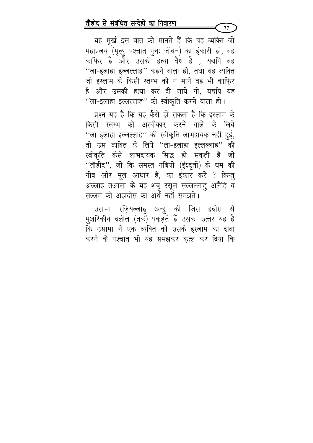यह मूर्ख इस बात को मानते हैं कि वह व्यक्ति जो महाप्रलय (मृत्यु पश्चात पुनः जीवन) का इंकारी हो, वह काफिर है और उसकी हत्या वैध है , यद्यपि वह "ला-इलाहा इल्लल्लाह" कहने वाला हो, तथा वह व्यक्ति जो इस्लाम के किसी स्तम्भ को न माने वह भी काफि़र है और उसकी हत्या कर दी जाये गी, यद्यपि वह "ला-इलाहा इल्लल्लाह" की स्वीकृति करने वाला हो।

77

प्रश्न यह है कि यह कैसे हो सकता है कि इस्लाम के किसी स्तम्भ को अस्वीकार करने वाले के लिये "ला-इलाहा इल्लल्लाह" की स्वीकृति लाभदायक नहीं हुई, तो उस व्यक्ति के लिये "ला-इलाहा इल्लल्लाह" की स्वीकृति कैसे लाभदायक सिद्ध हो सकती है जो ''तौहीद'', जो कि समस्त नबियों (ईश्दूतों) के धर्म की नीव और मूल आधार है, का इंकार करे ? किन्तु अल्लाह तआला के यह शत्रु रसूल सल्लल्लाहु अलैहि व सल्लम की अहादीस का अर्थ नहीं समझते।

उसामा रज़ियल्लाहु अन्हु की जिस हदीस से मुशरिकीन दलील (तर्क) पकड़ते हैं उसका उत्तर यह है कि उसामा ने एक व्यक्ति को उसके इस्लाम का दावा करने के पश्चात भी यह समझकर कत्ल कर दिया कि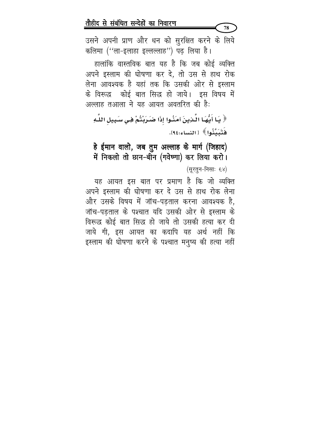उसने अपनी प्राण और धन को सुरक्षित करने के लिये कलिमा ("ला-इलाहा इल्लल्लाह") पढ़ लिया है।

हालांकि वास्तविक बात यह है कि जब कोई व्यक्ति अपने इस्लाम की घोषणा कर दे, तो उस से हाथ रोक लेना आवश्यक है यहां तक कि उसकी ओर से इस्लाम के विरूद्ध कोई बात सिद्ध हो जाये। इस विषय में अल्लाह तआला ने यह आयत अवतरित की है:

﴿ يَـا أَيُّهَـا الَّـذِينَ آمَنُـوا إِذَا ضَـرَبْتُمْ فِـي سَـبِيلِ اللَّـهِ فَتَىَتَّنُوا》[النساء:٩٤].

हे ईमान वालो, जब तुम अल्लाह के मार्ग (जिहाद) में निकलो तो छान-बीन (गवेष्णा) कर लिया करो।

(सूरतुन-निसाः ६४)

यह आयत इस बात पर प्रमाण है कि जो व्यक्ति अपने इस्लाम की घोषणा कर दे उस से हाथ रोक लेना और उसके विषय में जॉच-पडताल करना आवश्यक है, जॉच-पडताल के पश्चात यदि उसकी ओर से इस्लाम के विरूद्ध कोई बात सिद्ध हो जाये तो उसकी हत्या कर दी जाये गी, इस आयत का कदापि यह अर्थ नहीं कि इस्लाम की घोषणा करने के पश्चात मनुष्य की हत्या नहीं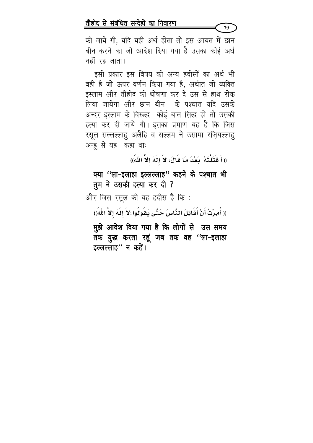की जाये गी, यदि यही अर्थ होता तो इस आयत में छान बीन करने का जो आदेश दिया गया है उसका कोई अर्थ नहीं रह जाता।

इसी प्रकार इस विषय की अन्य हदीसों का अर्थ भी वही है जो ऊपर वर्णन किया गया है, अर्थात जो व्यक्ति इस्लाम और तौहीद की धोषणा कर दे उस से हाथ रोक लिया जायेगा और छान बीन के पश्चात यदि उसके अन्दर इस्लाम के विरूद्ध कोई बात सिद्ध हो तो उसकी हत्या कर दी जाये गी। इसका प्रमाण यह है कि जिस रसूल सल्लल्लाहु अलैहि व सल्लम ने उसामा रज़ियल्लाहु अन्हु से यह कहा थाः

((أَ قَتَلْتَهُ ۖ بَعْدَ مَا قَالَ: لاَ إِلَهَ إِلاَّ اللهُ))

क्या ''ला-इलाहा इल्लल्लाह'' कहने के पश्चात भी तुम ने उसकी हत्या कर दी ?

और जिस रसूल की यह हदीस है कि :

(( أُمِرْتُ أَنْ أُقَاتِلَ النَّاسَ حَتَّى يَقُولُوا :لاَ إلَهَ إلاَّ اللهُ))

मुझे आदेश दिया गया है कि लोगों से उस समय तक युद्ध करता रहूं जब तक वह ''ला-इलाहा इल्लल्लाह" न कहें।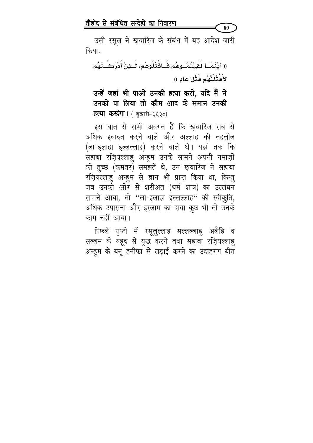उसी रसूल ने खुवारिज के संबंध में यह आदेश जारी कियाः

80

(( أَيْنَمَــَا لَقِيْتُمُــوهُم فَــَاقْتُلُوهُم، لَــئِنْ أَدْرَكُــتُهُم لأَقْتُلَنَّهُم قَتْلَ عَادٍ ))

उन्हें जहां भी पाओ उनकी हत्या करो, यदि मैं ने उनको पा लिया तो कौम आद के समान उनकी **हत्या करूंगा।** (बुखारी-६६३०)

इस बात से सभी अवगत हैं कि खवारिज सब से अधिक इबादत करने वाले और अल्लाह की तहलील (ला-इलाहा इल्लल्लाह) करने वाले थे। यहां तक कि सहाबा रज़ियल्लाहु अन्हुम उनके सामने अपनी नमाज़ों को तुच्छ (कमतर) समझते थे, उन ख़वारिज ने सहाबा रज़ियल्लाहु अन्हुम से ज्ञान भी प्राप्त किया था, किन्तु जब उनकी ओर से शरीअत (धर्म शात्र) का उल्लंघन सामने आया, तो ''ला-इलाहा इल्लल्लाह'' की स्वीकृति, अधिक उपासना और इस्लाम का दावा कूछ भी तो उनके काम नहीं आया।

पिछले पृष्टो में रसूलुल्लाह सल्लल्लाहु अलैहि व सल्लम के यहूद से युद्ध करने तथा सहाबा रज़ियल्लाहु अन्हुम के बनू हनीफा से लड़ाई करने का उदाहरण बीत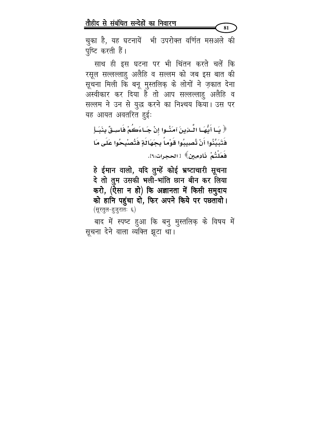81

चुका है, यह घटनायें भी उपरोक्त वर्णित मसअले की पुष्टि करती हैं।

साथ ही इस घटना पर भी चिंतन करते चलें कि रसूल सल्लल्लाहु अलैहि व सल्लम को जब इस बात की सूचना मिली कि बनू मुस्तलिक़ के लोगों ने ज़कात देना अस्वीकार कर दिया है तो आप सल्लल्लाहु अलैहि व सल्लम ने उन से युद्ध करने का निश्चय किया। उस पर यह आयत अवतरित हुई:

﴿ يَـا أَيُّهَـا الَّـذِينَ آمَنُـوا إِنْ جَـاءَكُمْ فَاسِـقٌ بِنَبَـأٍ فَتَبَيَّدُوا أَنْ تُصِيبُوا قَوْماً بِجَهَالَةٍ فَتُصْبِحُوا عَلَى مَا فَعَلْتُمْ ذَادِمِينَ﴾ [الحجرات:١٦].

हे ईमान वालो, यदि तुम्हें कोई भ्रष्टाचारी सूचना दे तो तुम उसकी भली-भांति छान बीन कर लिया करो, (ऐसा न हो) कि अज्ञानता में किसी समुदाय को हानि पहुंचा दो, फिर अपने किये पर पछतावो। (सूरतुल-हुजुरातः ६)

बाद में स्पष्ट हुआ कि बनु मुस्तलिक़ के विषय में सूचना देने वाला व्यक्ति झूटा था।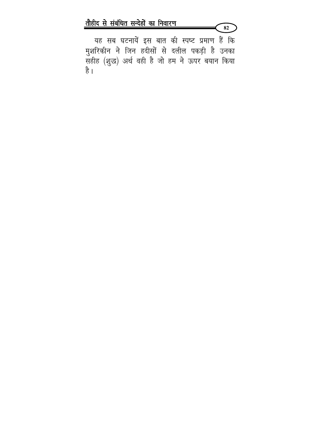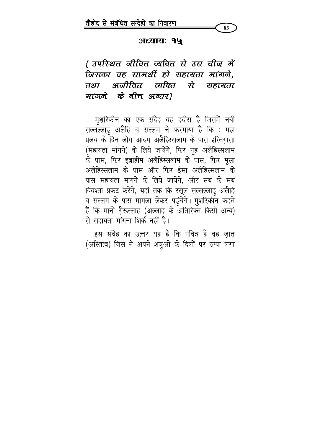#### अध्यायः १५

83

{ उपस्थित जीवित व्यक्ति से उस चीज़ में जिसका वह सामर्थी हो सहायता मांगने. तथा अजीवित व्यक्ति से सहायता मांगने के बीच अन्तर}

मुशरिकीन का एक संदेह वह हदीस है जिसमें नबी सल्लल्लाहु अलैहि व सल्लम ने फरमाया है कि : महा प्रलय के दिन लोग आदम अलैहिस्सलाम के पास इस्तिग़ासा (सहायता मांगने) के लिये जायेंगे, फिर नूह अलैहिस्सलाम के पास, फिर इब्राहीम अलैहिस्सलाम के पास, फिर मूसा अलैहिस्सलाम के पास और फिर ईसा अलैहिस्सलाम के पास सहायता मांगने के लिये जायेंगे, और सब के सब विवश्ता प्रकट करेंगे, यहां तक कि रसूल सल्लल्लाहु अलैहि व सल्लम के पास मामला लेकर पहुंचेंगे। मुशरिकीन कहते हैं कि मानो ग़ैरूल्लाह (अल्लाह के अतिरिक्त किसी अन्य) से सहायता मांगना शिर्क नहीं है।

इस संदेह का उत्तर यह है कि पवित्र है वह जात (अस्तित्व) जिस ने अपने शत्रुओं के दिलों पर ठप्पा लगा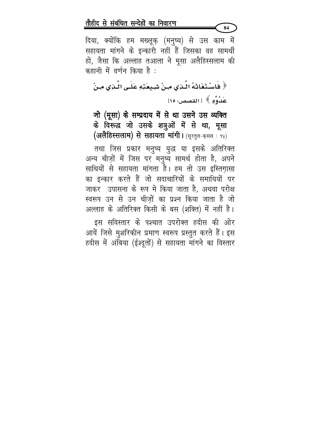दिया, क्योंकि हम मख्लूक़ (मनुष्य) से उस काम में सहायता मांगने के इन्कारी नहीं हैं जिसका वह सामर्थी हो, जैसा कि अल्लाह तआला ने मूसा अलैहिस्सलाम की कहानी में वर्णन किया है :

84

﴿ فَاسْتَغَاثَهُ الّْذِي مِنْ شِيعَتِهِ عَلَى الّْذِي مِنْ عَدُوِّهِ ﴾ [القصص: ١٥]

जो (मूसा) के सम्प्रदाय में से था उसने उस व्यक्ति के विरूद्ध जो उसके शत्रुओं में से था, मूसा (अलैहिस्सलाम) से सहायता मांगी। (सूरतुल-कससः १५)

तथा जिस प्रकार मनुष्य युद्ध या इसके अतिरिक्त अन्य चीज़ों में जिस पर मनुष्य सामर्थ होता है, अपने साथियों से सहायता मांगता है। हम तो उस इस्तिगासा का इन्कार करते हैं जो सदाचारियों के समाधियों पर जाकर उपासना के रूप मे किया जाता है, अथवा परोक्ष स्वरूप उन से उन चीज़ों का प्रश्न किया जाता है जो अल्लाह के अतिरिक्त किसी के बस (शक्ति) में नहीं है।

इस सविस्तार के पश्चात उपरोक्त हदीस की ओर आयें जिसे मुशरिकीन प्रमाण स्वरूप प्रस्तुत करते हैं। इस हदीस में अंबिया (ईश्दूतों) से सहायता मांगने का विस्तार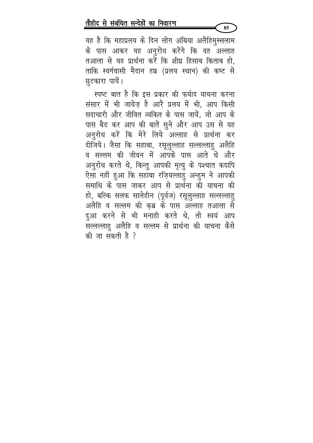यह है कि महाप्रलय के दिन लोग अंबिया अलैहिमुस्सलाम के पास आकर यह अनुरोध करेंगे कि वह अल्लाह तआला से यह प्रार्थना करें कि शीघ्र हिसाब किताब हो, ताकि स्वर्गवासी मैदान हष्र (प्रलय स्थान) की कष्ट से छुटकारा पायें।

स्पष्ट बात है कि इस प्रकार की फर्याद याचना करना संसार में भी जायेज है आरै प्रलय में भी. आप किसी सदाचारी और जीवित व्यकित के पास जायें, जो आप के पास बैठ कर आप की बातें सुने और आप उस से यह अनुरोध करें कि मेरे लिये अल्लाह से प्रार्थना कर दीजिये। जैसा कि सहाबा, रसूलुल्लाह सल्लल्लाहु अलैहि व सल्लम की जीवन में आपके पास आते थे और अनुरोध करते थे, किन्तु आपकी मृत्यु के पश्चात कदापि ऐसा नहीं हुआ कि सहाबा रज़ियल्लाहु अन्हुम ने आपकी समाधि के पास जाकर आप से प्रार्थना की याचना की हो, बल्कि सलफ सालेहीन (पूर्वज) रसूलुल्लाह सल्लल्लाहु अलैहि व सल्लम की कब्र के पास अल्लाह तआला से दुआ करने से भी मनाही करते थे, तो स्वयं आप सल्लल्लाहु अलैहि व सल्लम से प्रार्थना की याचना कैसे की जा सकती है ?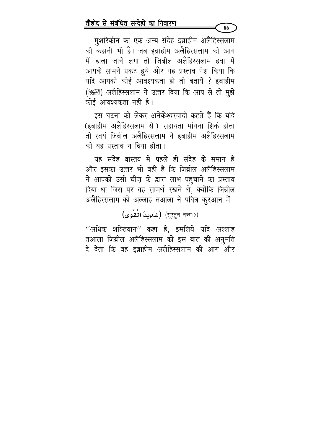मुशरिकीन का एक अन्य संदेह इब्राहीम अलैहिस्सलाम की कहानी भी है। जब इब्राहीम अलैहिस्सलाम को आग में डाला जाने लगा तो जिब्रील अलैहिस्सलाम हवा में आपके सामने प्रकट हुये और यह प्रस्ताव पेश किया कि यदि आपको कोई आवश्यकता हो तो बतायें ? इब्राहीम (ﷺ) अलैहिस्सलाम ने उत्तर दिया कि आप से तो मुझे कोई आवश्यकता नहीं है।

इस घटना को लेकर अनेकेश्वरवादी कहते हैं कि यदि (इब्राहीम अलैहिस्सलाम से) सहायता मांगना शिर्क होता तो स्वयं जिब्रील अलैहिस्सलाम ने इब्राहीम अलैहिस्सलाम को यह प्रस्ताव न दिया होता।

यह संदेह वास्तव में पहले ही संदेह के समान है और इसका उत्तर भी वही है कि जिब्रील अलैहिस्सलाम ने आपको उसी चीज़ के द्वारा लाभ पहुंचाने का प्रस्ताव दिया था जिस पर वह सामर्थ रखते थे, क्योंकि जिब्रील अलैहिस्सलाम को अल्लाह तआला ने पवित्र कुरआन में

(सूरतून-नज्मः५) (सूरतून-नज्मः५)

''अधिक शक्तिवान'' कहा है, इसलिये यदि अल्लाह तआला जिब्रील अलैहिस्सलाम को इस बात की अनुमति दे देता कि वह इब्राहीम अलैहिस्सलाम की आग और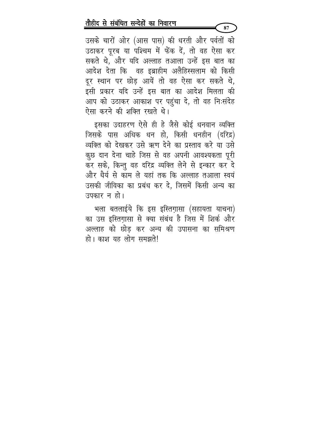उसके चारों ओर (आस पास) की धरती और पर्वतों को उठाकर पूरब या पश्चिम में फेंक दें, तो वह ऐसा कर सकते थे, और यदि अल्लाह तआला उन्हें इस बात का आदेश देता कि वह इब्राहीम अलैहिस्सलाम को किसी दूर स्थान पर छोड़ आयें तो वह ऐसा कर सकते थे, इसी प्रकार यदि उन्हें इस बात का आदेश मिलता की आप को उठाकर आकाश पर पहुंचा दे, तो वह निःसंदेह ऐसा करने की शक्ति रखते थे।

इसका उदाहरण ऐसे ही हे जैसे कोई धनवान व्यक्ति जिसके पास अधिक धन हो, किसी धनहीन (दरिद्र) व्यक्ति को देखकर उसे ऋण देने का प्रस्ताव करे या उसे कुछ दान देना चाहे जिस से वह अपनी आवश्यकता पूरी कर सके, किन्तु वह दरिद्र व्यक्ति लेने से इन्कार कर दे और धैर्य से काम ले यहां तक कि अल्लाह तआला स्वयं उसकी जीविका का प्रबंध कर दे, जिसमें किसी अन्य का उपकार न हो।

भला बतलाईये कि इस इस्तिग़ासा (सहायता याचना) का उस इस्तिगासा से क्या संबंध है जिस में शिर्क और अल्लाह को छोड़ कर अन्य की उपासना का समिश्रण हो। काश यह लोग समझते!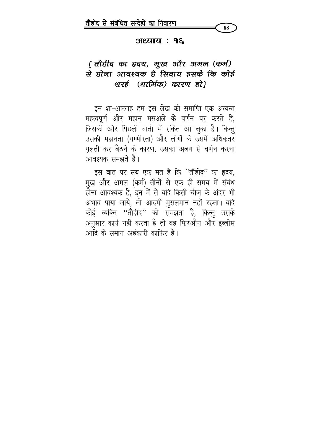

#### अध्याय : १६

# { तौहीद का हृदय, मुख्र और अमल (कर्म) से होना आवश्यक है सिवाय इसके कि कोई शरई (धार्मिक) कारण हो}

इन शा-अल्लाह हम इस लेख की समाप्ति एक अत्यन्त महत्वपूर्ण और महान मसअले के वर्णन पर करते हैं, जिसकी ओर पिछली वार्ता में संकेत आ चुका है। किन्तु उसकी महानता (गम्भीरता) और लोगों के उसमें अधिकतर ग़लती कर बैठने के कारण, उसका अलग से वर्णन करना आवश्यक समझते हैं।

इस बात पर सब एक मत हैं कि ''तौहीद'' का हृदय, मुख और अमल (कर्म) तीनों से एक ही समय में संबंध होना आवश्यक है, इन में से यदि किसी चीज के अंदर भी अभाव पाया जाये, तो आदमी मुसलमान नहीं रहता। यदि कोई व्यक्ति ''तौहीद'' को समझता है, किन्तु उसके अनुसार कार्य नहीं करता है तो वह फिरऔन और इब्लीस आदि के समान अहंकारी काफिर है।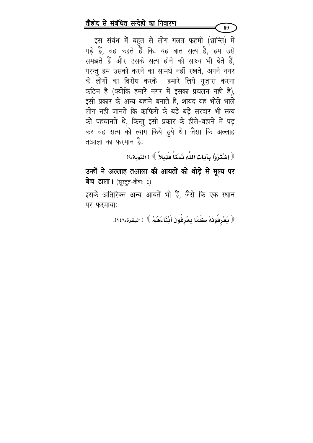इस संबंध में बहुत से लोग ग़लत फहमी (भ्रान्ति) में पड़े हैं, वह कहते हैं कि: यह बात सत्य है, हम उसे समझते हैं और उसके सत्य होने की साक्ष्य भी देते हैं, परन्तु हम उसको करने का सामर्थ नहीं रखते, अपने नगर के लोगों का विरोध करके हमारे लिये गुज़ारा करना कठिन है (क्योंकि हमारे नगर में इसका प्रचलन नहीं है), इसी प्रकार के अन्य बहाने बनाते हैं, शायद यह भोले भाले लोग नहीं जानते कि काफिरों के बडे बडे सरदार भी सत्य को पहचानते थे, किन्तु इसी प्रकार के हीले-बहाने में पड़ कर वह सत्य को त्याग किये हूये थे। जैसा कि अल्लाह तआला का फरमान है:

﴿ اِشْتَرَوْا بِآياتِ اللَّهِ ثَمَناً قَلِيلاً ﴾ [التوبة:٩]

89

उन्हों ने अल्लाह तआला की आयतों को थोड़े से मूल्य पर बेच डाला। (सूरतूत-तौबाः ६)

इसके अतिरिक्त अन्य आयतें भी हैं, जैसे कि एक स्थान पर फरमाया:

﴿ يَعْرِفُونَهُ كَمَا يَعْرِفُونَ أَبْنَاءَهُمْ ﴾ [البقرة:١٤٦].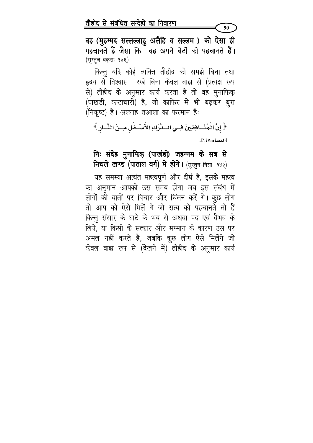वह (मुहम्मद सल्लल्लाहु अलैहि व सल्लम) को ऐसा ही पहचानते हैं जैसा कि वह अपने बेटों को पहचानते हैं। (सूरतूल-बकराः १४६)

किन्तु यदि कोई व्यक्ति तौहीद को समझे बिना तथा हृदय से विश्वास रखे बिना केवल वाह्य से (प्रत्यक्ष रूप से) तौहीद के अनुसार कार्य करता है तो वह मुनाफिक़ (पाखंडी, कप्टाचारी) है, जो काफिर से भी बढ़कर बुरा (निकृष्ट) है। अल्लाह तआला का फरमान है:

﴿ إِنَّ الْمُنَسَافِقِينَ فِسِي السَّرْكِ الأَسْسْفَلِ مِسنَ النَّسَادِ ﴾ [النساء:١٤٥].

# निः संदेह मुनाफिक़ (पाखंडी) जहन्नम के सब से निचले खण्ड (पाताल वर्ग) में होंगे। (सूरतुन-निसाः १४५)

यह समस्या अत्यंत महत्वपूर्ण और दीर्घ है, इसके महत्व का अनुमान आपको उस समय होगा जब इस संबंध में लोगों की बातों पर विचार और चिंतन करें गे। कुछ लोग तो आप को ऐसे मिलें गे जो सत्य को पहचानते तो हैं किन्तू संसार के घाटे के भय से अथवा पद एवं वैभव के लिये, या किसी के सत्कार और सम्मान के कारण उस पर अमल नहीं करते हैं, जबकि कृछ लोग ऐसे मिलेंगे जो केवल वाह्य रूप से (देखने में) तौहीद के अनुसार कार्य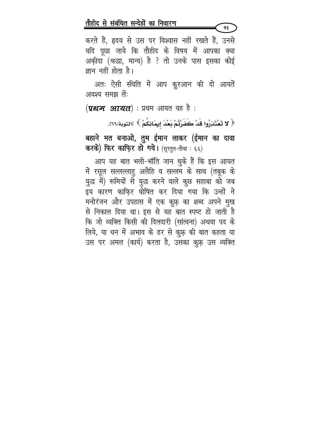करते हैं, हृदय से उस पर विश्वास नहीं रखते हैं, उनसे यदि पूछा जाये कि तौहीद के विषय में आपका क्या अक़ीदा (श्रद्धा, मान्य) है ? तो उनके पास इसका कोई ज्ञान नहीं होता है।

91

अतः ऐसी संथति में आप कुरआन की दो आयतें अवश्य समझ लें:

 $(\boldsymbol{q}$ थम आयत) : प्रथम आयत यह है :

﴿ لا تَعْتَذِرُوا قَدْ كَفَرْتُمْ بَعْدَ إيمَانِكُمْ ﴾ [التوبة:٦٦].

बहाने मत बनाओ, तुम ईमान लाकर (ईमान का दावा करके) फिर काफि़र हो गये। (सूरतुत-तौबा: ६६)

आप यह बात भली-भॉंति जान चुके हैं कि इस आयत में रसूल सल्लल्लाहु अलैहि व सल्लम के साथ (तबूक के युद्ध में) रूमियों से युद्ध करने वाले कुछ सहाबा को जब इय कारण काफ़िर घोषित कर दिया गया कि उन्हों ने मनोरंजन और उपहास में एक कुफ़ का शब्द अपने मुख से निकाल दिया था। इस से यह बात स्पष्ट हो जाती है कि जो व्यक्ति किसी की दिलदारी (सांत्वना) अथवा पद के लिये, या धन में अभाव के डर से कुफ़ की बात कहता या उस पर अमल (कार्य) करता है, उसका कु़फ़ उस व्यक्ति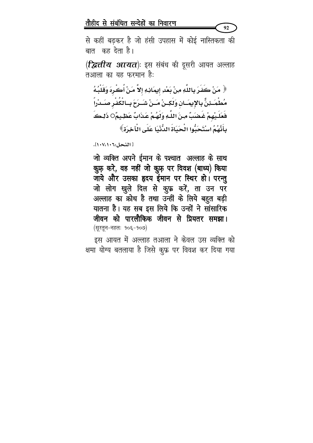से कहीं बढकर है जो हंसी उपहास में कोई नास्तिकता की बात कह देता है।

92

(**द्वित्तीय आयत**)ः इस संबंध की दूसरी आयत अल्लाह तआला का यह फरमान है:

﴿ مَنْ كَفَرَ بِاللَّهِ مِنْ بَعْدِ إِيمَانِهِ إِلاَّ مَنْ أُكْرِهَ وَقَلْبُهُ مُطْمَـثِنٌّ بِالإِيمَـانِ وَلَكِـنْ مَـنْ شَـرَحَ بِـالْكُفْرِ صَـدْراً فَعَلَيْهِمْ غَضِبٌ مِنَ اللَّهِ وَلَهُمْ عَذَابٌ عَظِيمٌO ذَلِكَ بِأَنَّهُمُ اسْتَحَبُّوا الْحَيَاةَ الدُّنْيَا عَلَى الْآخِرَةِ ﴾

[ النحل:١٠٧،١٠٦].

जो व्यक्ति अपने ईमान के पश्चात अल्लाह के साथ क़ुफ़ करे, वह नहीं जो क़ुफ़ पर विवश (बाध्य) किया जाये और उसका हृदय ईमान पर स्थिर हो। परन्तु जो लोग खुले दिल से कुफ़्र करें, ता उन पर अल्लाह का क्रोध है तथा उन्हीं के लिये बहुत बड़ी यातना है। यह सब इस लिये कि उन्हों ने सांसारिक जीवन को पारलौकिक जीवन से प्रियतर समझा। (सूरतून-नहलः १०६-१०७)

इस आयत में अल्लाह तआला ने केवल उस व्यक्ति को क्षमा योग्य बतलाया है जिसे कुफ़्र पर विवश कर दिया गया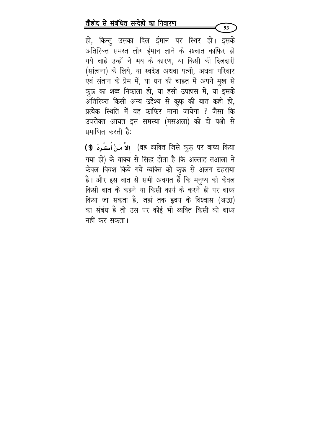हो, किन्तु उसका दिल ईमान पर स्थिर हो। इसके अतिरिक्त समस्त लोग ईमान लाने के पश्चात काफिर हो गये चाहे उन्हों ने भय के कारण, या किसी की दिलदारी (सांत्वना) के लिये, या स्वदेश अथवा पत्नी, अथवा परिवार एवं संतान के प्रेम में, या धन की चाहत में अपने मुख से कुफ्र का शब्द निकाला हो, या हंसी उपहास में, या इसके अतिरिक्त किसी अन्य उद्देश्य से कु़फ़ की बात कही हो, प्रत्येक स्थिति में वह काफिर माना जायेगा ? जैसा कि उपरोक्त आयत इस समस्या (मसअला) को दो पक्षो से प्रमाणित करती है:

93

(१) अहं व्यक्ति जिसे कुफ़ पर बाध्य किया إِلاَّ مَنْ أُكْرِهَ) गया हो) के वाक्य से सिद्ध होता है कि अल्लाह तआला ने केवल विवश किये गये व्यक्ति को कुफ्र से अलग ठहराया है। और इस बात से सभी अवगत हैं कि मनुष्य को केवल किसी बात के कहने या किसी कार्य के करने ही पर बाध्य किया जा सकता है, जहां तक हृदय के विश्वास (श्रद्धा) का संबंध है तो उस पर कोई भी व्यक्ति किसी को बाध्य नहीं कर सकता।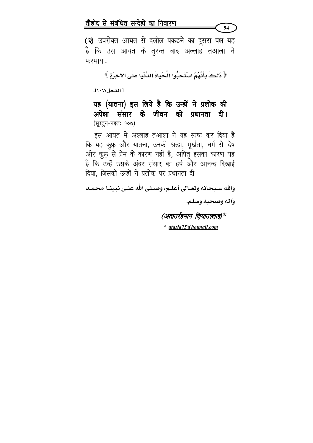(२) उपरोक्त आयत से दलील पकड़ने का दूसरा पक्ष यह है कि उस आयत के तुरन्त बाद अल्लाह तआला ने फरमायाः

﴿ ذَلِكَ بِأَنَّهُمُ اسْتَحَبُّوا الْحَبَاةَ الدُّنْيَا عَلَى الآخِرَةِ ﴾

[ النحل:١٠٧].

यह (यातना) इस लिये है कि उन्हों ने प्रलोक की अपेक्षा संसार के जीवन को प्रधानता दी। (सुरतुन-नहलः १०७)

इस आयत में अल्लाह तआला ने यह स्पष्ट कर दिया है कि यह कुफ़् और यातना, उनकी श्रद्धा, मूर्खता, धर्म से द्वेष और क़ूफ़ से प्रेम के कारण नहीं है, अपितु इसका कारण यह है कि उन्हें उसके अंदर संसार का हर्ष और आनन्द दिखाई दिया, जिसको उन्हों ने प्रलोक पर प्रधानता दी।

والله سبحانه وتعـالى أعلـم، وصـلى اللَّه علـى نبينـا محمـد

وآله وصحبه وسلم.

94

(अताउर्रहमान जियाउल्लाह)\*

\* atazia75@hotmail.com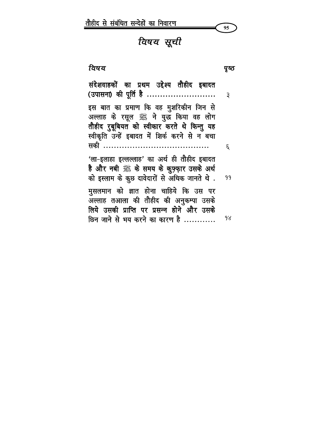

# विषय सूची

ਰਿषय

संदेशवाहकों का प्रथम उद्देश्य तौहीद इबादत (उपासना) की पूर्ति है ........................... ३ इस बात का प्रमाण कि वह मुशरिकीन जिन से अल्लाह के रसूल ﷺ ने युद्ध किया वह लोग तौहीद रुबूबियत को स्वीकार करते थे किन्तु यह स्वीकृति उन्हें इबादत में शिर्क करने से न बचा सकी ...........................  $\epsilon$ 'ला–इलाहा इल्लल्लाह' का अर्थ ही तौहीद इबादत है और नबी ﷺ के समय के क़ुफ़्फ़ार उसके अर्थ को इस्लाम के कुछ दावेदारों से अधिक जानते थे. 99 मुसलमान को ज्ञात होना चाहिये कि उस पर अल्लाह तआला की तौहीद की अनुकम्पा उसके लिये उसकी प्राप्ति पर प्रसन्न होने और उसके छिन जाने से भय करने का कारण है ............ 98

पुष्ठ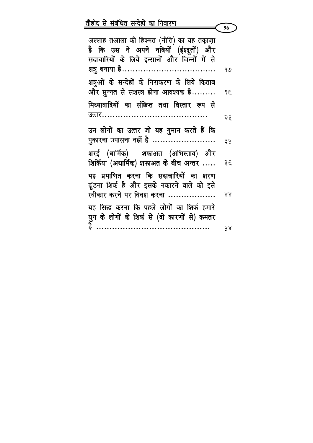|                                                                                                                                      | 96  |
|--------------------------------------------------------------------------------------------------------------------------------------|-----|
| अल्लाह तआला की हिक्मत (नीति) का यह तक़ाज़ा<br>है कि उस ने अपने नबियों (ईश्दूतों) और<br>सदाचारियों के लिये इन्सानों और जिन्नों में से |     |
| शत्रु बनाया है………………………………                                                                                                           | 919 |
| शत्रूओं के सन्देहों के निराकरण के लिये किताब<br>और सुन्नत से सशस्त्र होना आवश्यक है                                                  | 9£  |
| मिथ्यावादियों का संछिप्त तथा विस्तार रूप से                                                                                          |     |
|                                                                                                                                      | २३  |
| उन लोगों का उत्तर जो यह गुमान करते हैं कि<br><u>पुकारना उपासना नहीं है </u>                                                          | ३५  |
| शरई (धार्मिक) शफाअत (अभिस्ताव) और<br>शिर्किया (अधार्मिक) शफाअत के बीच अन्तर                                                          | ३६  |
| यह प्रमाणित करना कि सदाचारियों का शरण<br>ढूंडना शिर्क है और इसके नकारने वाले को इसे<br>स्वीकार करने पर विवश करना                     | ४४  |
| यह सिद्ध करना कि पहले लोगों का शिर्क हमारे                                                                                           |     |
|                                                                                                                                      | ५४  |